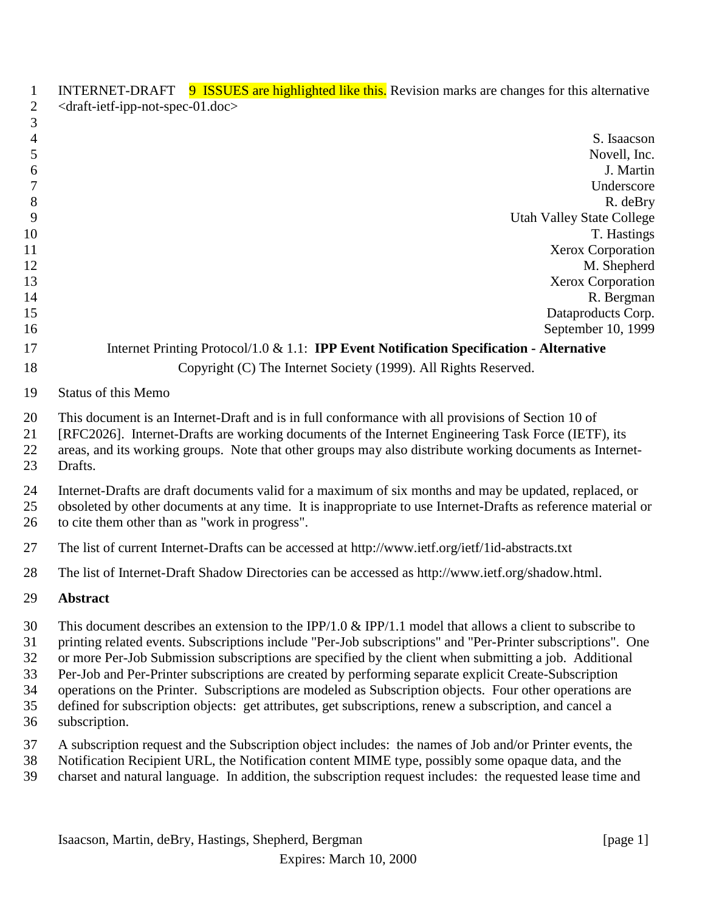| $\mathbf{2}$                           | <draft-ietf-ipp-not-spec-01.doc></draft-ietf-ipp-not-spec-01.doc>                                                                                                                                                                                                                                                                                                                                                                                                                                                                                                                                                                                                                 |
|----------------------------------------|-----------------------------------------------------------------------------------------------------------------------------------------------------------------------------------------------------------------------------------------------------------------------------------------------------------------------------------------------------------------------------------------------------------------------------------------------------------------------------------------------------------------------------------------------------------------------------------------------------------------------------------------------------------------------------------|
| 3                                      | S. Isaacson                                                                                                                                                                                                                                                                                                                                                                                                                                                                                                                                                                                                                                                                       |
| $\overline{4}$<br>5                    | Novell, Inc.                                                                                                                                                                                                                                                                                                                                                                                                                                                                                                                                                                                                                                                                      |
| 6                                      | J. Martin                                                                                                                                                                                                                                                                                                                                                                                                                                                                                                                                                                                                                                                                         |
| $\boldsymbol{7}$                       | Underscore                                                                                                                                                                                                                                                                                                                                                                                                                                                                                                                                                                                                                                                                        |
| $8\,$                                  | R. deBry                                                                                                                                                                                                                                                                                                                                                                                                                                                                                                                                                                                                                                                                          |
| 9                                      | <b>Utah Valley State College</b>                                                                                                                                                                                                                                                                                                                                                                                                                                                                                                                                                                                                                                                  |
| 10                                     | T. Hastings                                                                                                                                                                                                                                                                                                                                                                                                                                                                                                                                                                                                                                                                       |
| 11                                     | Xerox Corporation                                                                                                                                                                                                                                                                                                                                                                                                                                                                                                                                                                                                                                                                 |
| 12                                     | M. Shepherd                                                                                                                                                                                                                                                                                                                                                                                                                                                                                                                                                                                                                                                                       |
| 13                                     | Xerox Corporation                                                                                                                                                                                                                                                                                                                                                                                                                                                                                                                                                                                                                                                                 |
| 14                                     | R. Bergman                                                                                                                                                                                                                                                                                                                                                                                                                                                                                                                                                                                                                                                                        |
| 15                                     | Dataproducts Corp.                                                                                                                                                                                                                                                                                                                                                                                                                                                                                                                                                                                                                                                                |
| 16                                     | September 10, 1999                                                                                                                                                                                                                                                                                                                                                                                                                                                                                                                                                                                                                                                                |
| 17                                     | Internet Printing Protocol/1.0 & 1.1: <b>IPP Event Notification Specification - Alternative</b>                                                                                                                                                                                                                                                                                                                                                                                                                                                                                                                                                                                   |
| 18                                     | Copyright (C) The Internet Society (1999). All Rights Reserved.                                                                                                                                                                                                                                                                                                                                                                                                                                                                                                                                                                                                                   |
| 19                                     | <b>Status of this Memo</b>                                                                                                                                                                                                                                                                                                                                                                                                                                                                                                                                                                                                                                                        |
| 20<br>21<br>22<br>23                   | This document is an Internet-Draft and is in full conformance with all provisions of Section 10 of<br>[RFC2026]. Internet-Drafts are working documents of the Internet Engineering Task Force (IETF), its<br>areas, and its working groups. Note that other groups may also distribute working documents as Internet-<br>Drafts.                                                                                                                                                                                                                                                                                                                                                  |
| 24<br>25<br>26                         | Internet-Drafts are draft documents valid for a maximum of six months and may be updated, replaced, or<br>obsoleted by other documents at any time. It is inappropriate to use Internet-Drafts as reference material or<br>to cite them other than as "work in progress".                                                                                                                                                                                                                                                                                                                                                                                                         |
| 27                                     | The list of current Internet-Drafts can be accessed at http://www.ietf.org/ietf/1id-abstracts.txt                                                                                                                                                                                                                                                                                                                                                                                                                                                                                                                                                                                 |
| 28                                     | The list of Internet-Draft Shadow Directories can be accessed as http://www.ietf.org/shadow.html.                                                                                                                                                                                                                                                                                                                                                                                                                                                                                                                                                                                 |
| 29                                     | <b>Abstract</b>                                                                                                                                                                                                                                                                                                                                                                                                                                                                                                                                                                                                                                                                   |
| 30<br>31<br>32<br>33<br>34<br>35<br>36 | This document describes an extension to the IPP/1.0 & IPP/1.1 model that allows a client to subscribe to<br>printing related events. Subscriptions include "Per-Job subscriptions" and "Per-Printer subscriptions". One<br>or more Per-Job Submission subscriptions are specified by the client when submitting a job. Additional<br>Per-Job and Per-Printer subscriptions are created by performing separate explicit Create-Subscription<br>operations on the Printer. Subscriptions are modeled as Subscription objects. Four other operations are<br>defined for subscription objects: get attributes, get subscriptions, renew a subscription, and cancel a<br>subscription. |
| 37<br>38<br>39                         | A subscription request and the Subscription object includes: the names of Job and/or Printer events, the<br>Notification Recipient URL, the Notification content MIME type, possibly some opaque data, and the<br>charset and natural language. In addition, the subscription request includes: the requested lease time and                                                                                                                                                                                                                                                                                                                                                      |

1 INTERNET-DRAFT 9 ISSUES are highlighted like this. Revision marks are changes for this alternative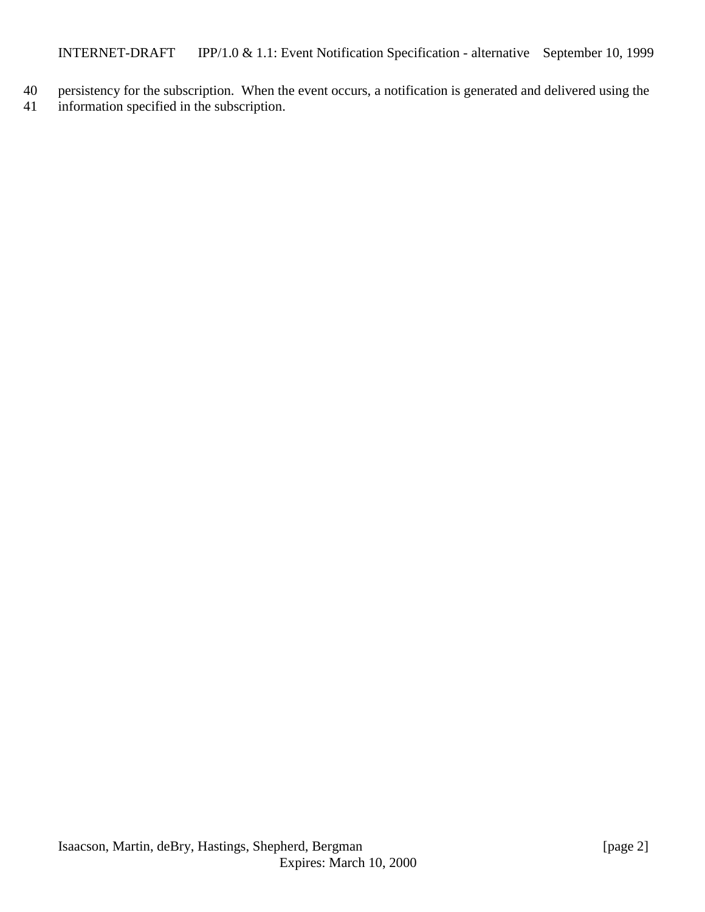- 40 persistency for the subscription. When the event occurs, a notification is generated and delivered using the
- 41 information specified in the subscription.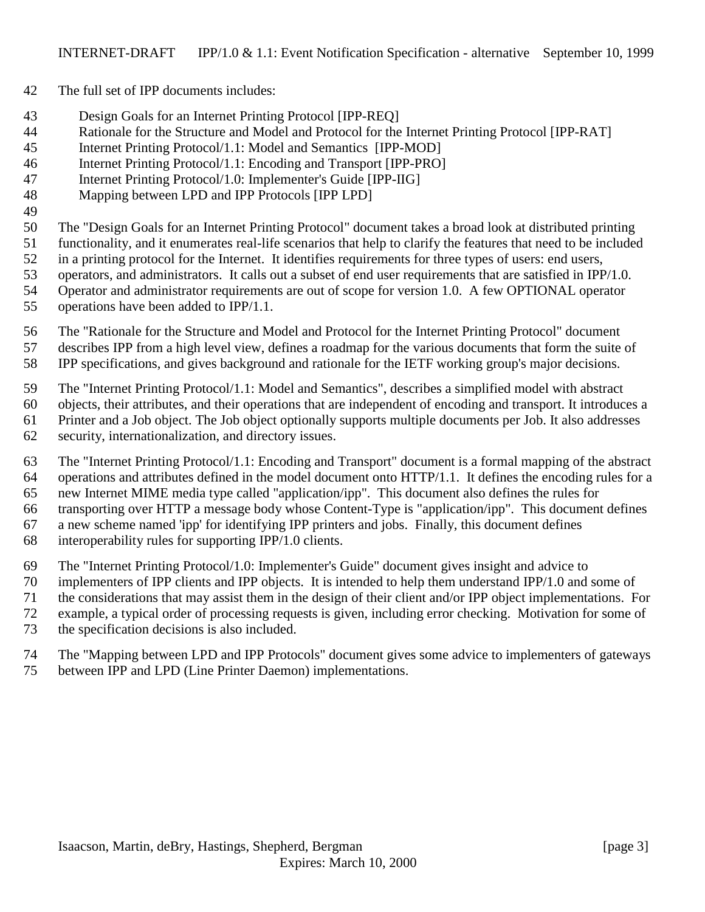- The full set of IPP documents includes:
- Design Goals for an Internet Printing Protocol [IPP-REQ]
- Rationale for the Structure and Model and Protocol for the Internet Printing Protocol [IPP-RAT]
- Internet Printing Protocol/1.1: Model and Semantics [IPP-MOD]
- Internet Printing Protocol/1.1: Encoding and Transport [IPP-PRO]
- Internet Printing Protocol/1.0: Implementer's Guide [IPP-IIG]
- Mapping between LPD and IPP Protocols [IPP LPD]

The "Design Goals for an Internet Printing Protocol" document takes a broad look at distributed printing

- functionality, and it enumerates real-life scenarios that help to clarify the features that need to be included
- in a printing protocol for the Internet. It identifies requirements for three types of users: end users,
- operators, and administrators. It calls out a subset of end user requirements that are satisfied in IPP/1.0.
- Operator and administrator requirements are out of scope for version 1.0. A few OPTIONAL operator
- operations have been added to IPP/1.1.
- The "Rationale for the Structure and Model and Protocol for the Internet Printing Protocol" document describes IPP from a high level view, defines a roadmap for the various documents that form the suite of
- IPP specifications, and gives background and rationale for the IETF working group's major decisions.
- The "Internet Printing Protocol/1.1: Model and Semantics", describes a simplified model with abstract
- objects, their attributes, and their operations that are independent of encoding and transport. It introduces a Printer and a Job object. The Job object optionally supports multiple documents per Job. It also addresses
- security, internationalization, and directory issues.
	- The "Internet Printing Protocol/1.1: Encoding and Transport" document is a formal mapping of the abstract operations and attributes defined in the model document onto HTTP/1.1. It defines the encoding rules for a new Internet MIME media type called "application/ipp". This document also defines the rules for transporting over HTTP a message body whose Content-Type is "application/ipp". This document defines a new scheme named 'ipp' for identifying IPP printers and jobs. Finally, this document defines
	- interoperability rules for supporting IPP/1.0 clients.
	- The "Internet Printing Protocol/1.0: Implementer's Guide" document gives insight and advice to
	- implementers of IPP clients and IPP objects. It is intended to help them understand IPP/1.0 and some of
	- the considerations that may assist them in the design of their client and/or IPP object implementations. For
	- example, a typical order of processing requests is given, including error checking. Motivation for some of
	- the specification decisions is also included.
	- The "Mapping between LPD and IPP Protocols" document gives some advice to implementers of gateways between IPP and LPD (Line Printer Daemon) implementations.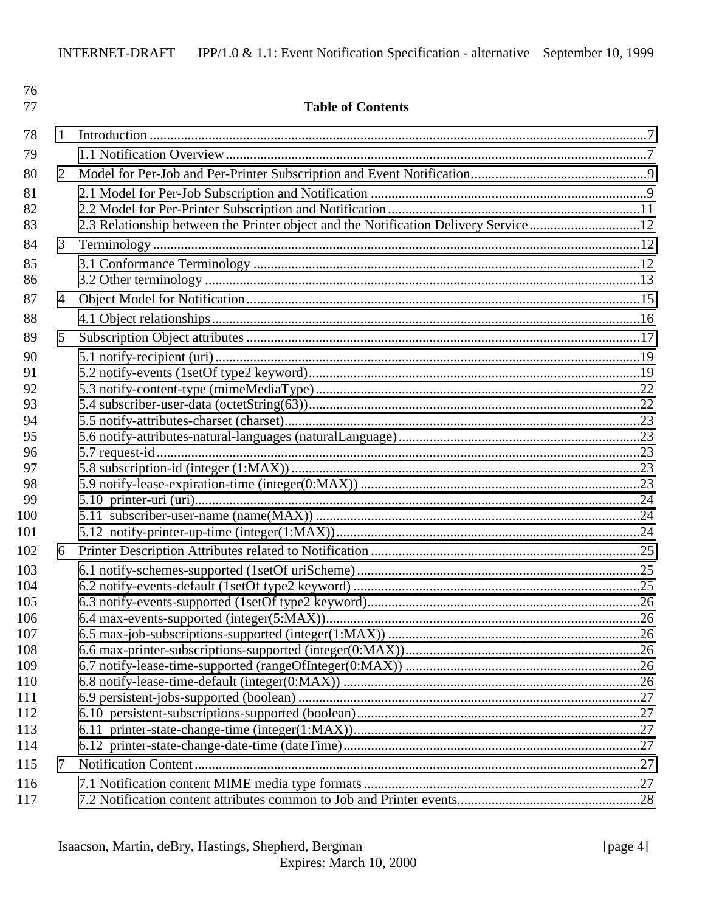| 76<br>77   |   | <b>Table of Contents</b>                                                             |  |
|------------|---|--------------------------------------------------------------------------------------|--|
| 78         | 1 |                                                                                      |  |
| 79         |   |                                                                                      |  |
| 80         | 2 |                                                                                      |  |
| 81         |   |                                                                                      |  |
| 82         |   |                                                                                      |  |
| 83         |   | 2.3 Relationship between the Printer object and the Notification Delivery Service 12 |  |
| 84         | 3 |                                                                                      |  |
| 85         |   |                                                                                      |  |
| 86         |   |                                                                                      |  |
| 87         | 4 |                                                                                      |  |
| 88         |   |                                                                                      |  |
| 89         | 5 |                                                                                      |  |
| 90         |   |                                                                                      |  |
| 91         |   |                                                                                      |  |
| 92         |   |                                                                                      |  |
| 93         |   |                                                                                      |  |
| 94         |   |                                                                                      |  |
| 95         |   |                                                                                      |  |
| 96         |   |                                                                                      |  |
| 97         |   |                                                                                      |  |
| 98<br>99   |   |                                                                                      |  |
| 100        |   |                                                                                      |  |
| 101        |   |                                                                                      |  |
| 102        | 6 |                                                                                      |  |
| 103        |   |                                                                                      |  |
| 104        |   |                                                                                      |  |
| 105        |   |                                                                                      |  |
| 106        |   |                                                                                      |  |
| 107        |   |                                                                                      |  |
| 108        |   |                                                                                      |  |
| 109        |   |                                                                                      |  |
| 110        |   |                                                                                      |  |
| 111<br>112 |   |                                                                                      |  |
| 113        |   |                                                                                      |  |
| 114        |   |                                                                                      |  |
| 115        | 7 |                                                                                      |  |
| 116        |   |                                                                                      |  |
| 117        |   |                                                                                      |  |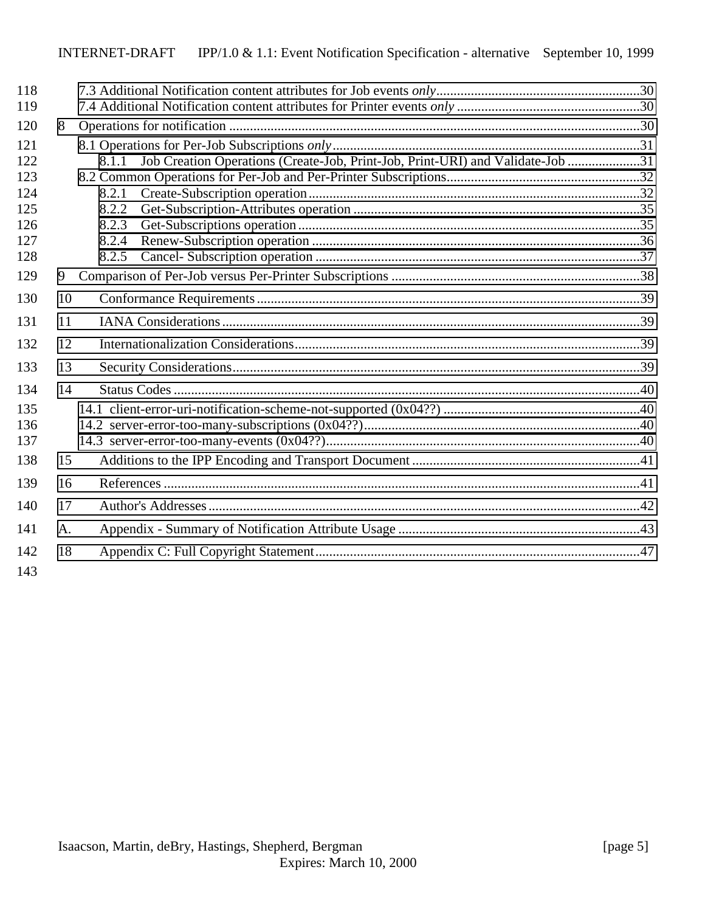| 118               |    |                                                                                         |  |
|-------------------|----|-----------------------------------------------------------------------------------------|--|
| 119               |    |                                                                                         |  |
| 120               | 8  |                                                                                         |  |
| 121<br>122        |    | Job Creation Operations (Create-Job, Print-Job, Print-URI) and Validate-Job 31<br>8.1.1 |  |
| 123               |    |                                                                                         |  |
| 124<br>125<br>126 |    | 8.2.1<br>8.2.2<br>8.2.3                                                                 |  |
| 127               |    | 8.2.4                                                                                   |  |
| 128               |    | 8.2.5                                                                                   |  |
| 129               | 9  |                                                                                         |  |
| 130               | 10 |                                                                                         |  |
| 131               | 11 |                                                                                         |  |
| 132               | 12 |                                                                                         |  |
| 133               | 13 |                                                                                         |  |
| 134               | 14 |                                                                                         |  |
| 135               |    |                                                                                         |  |
| 136               |    |                                                                                         |  |
| 137               |    |                                                                                         |  |
| 138               | 15 |                                                                                         |  |
| 139               | 16 |                                                                                         |  |
| 140               | 17 |                                                                                         |  |
| 141               | A. |                                                                                         |  |
| 142<br>143        | 18 |                                                                                         |  |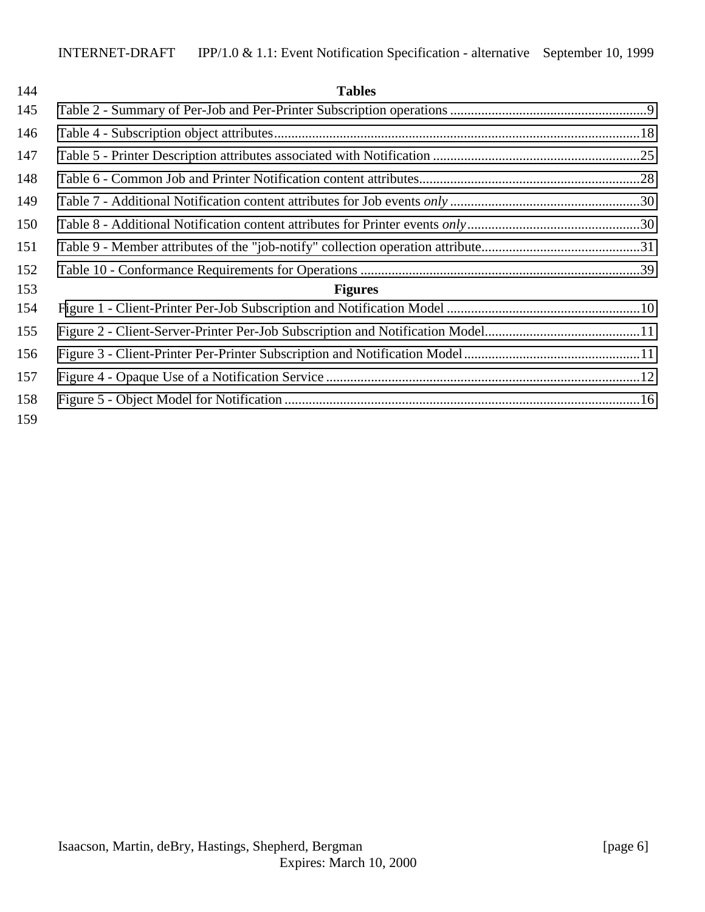| 144        | <b>Tables</b>  |  |
|------------|----------------|--|
| 145        |                |  |
| 146        |                |  |
| 147        |                |  |
| 148        |                |  |
| 149        |                |  |
| 150        |                |  |
| 151        |                |  |
| 152        |                |  |
| 153        | <b>Figures</b> |  |
| 154        |                |  |
| 155        |                |  |
| 156        |                |  |
| 157        |                |  |
| 158<br>159 |                |  |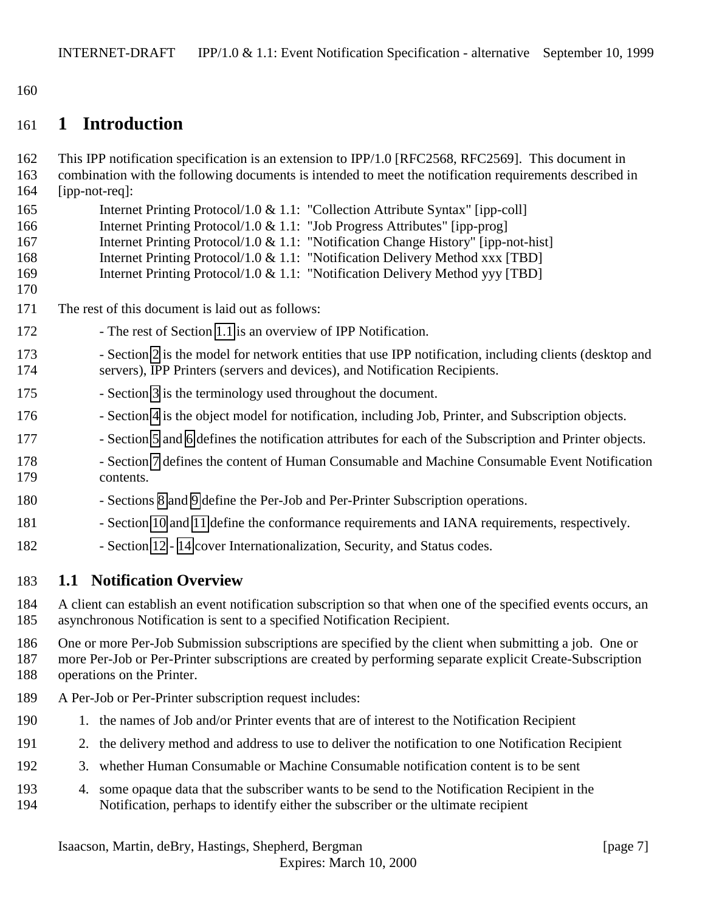<span id="page-6-0"></span>160

# 161 **1 Introduction**

| 162<br>163<br>164                      | This IPP notification specification is an extension to IPP/1.0 [RFC2568, RFC2569]. This document in<br>combination with the following documents is intended to meet the notification requirements described in<br>[ipp-not-req]:                                                                                                                                                                                     |
|----------------------------------------|----------------------------------------------------------------------------------------------------------------------------------------------------------------------------------------------------------------------------------------------------------------------------------------------------------------------------------------------------------------------------------------------------------------------|
| 165<br>166<br>167<br>168<br>169<br>170 | Internet Printing Protocol/1.0 & 1.1: "Collection Attribute Syntax" [ipp-coll]<br>Internet Printing Protocol/1.0 & 1.1: "Job Progress Attributes" [ipp-prog]<br>Internet Printing Protocol/1.0 & 1.1: "Notification Change History" [ipp-not-hist]<br>Internet Printing Protocol/1.0 & 1.1: "Notification Delivery Method xxx [TBD]<br>Internet Printing Protocol/1.0 & 1.1: "Notification Delivery Method yyy [TBD] |
| 171                                    | The rest of this document is laid out as follows:                                                                                                                                                                                                                                                                                                                                                                    |
| 172                                    | - The rest of Section 1.1 is an overview of IPP Notification.                                                                                                                                                                                                                                                                                                                                                        |
| 173<br>174                             | - Section 2 is the model for network entities that use IPP notification, including clients (desktop and<br>servers), IPP Printers (servers and devices), and Notification Recipients.                                                                                                                                                                                                                                |
| 175                                    | - Section 3 is the terminology used throughout the document.                                                                                                                                                                                                                                                                                                                                                         |
| 176                                    | - Section 4 is the object model for notification, including Job, Printer, and Subscription objects.                                                                                                                                                                                                                                                                                                                  |
| 177                                    | - Section 5 and 6 defines the notification attributes for each of the Subscription and Printer objects.                                                                                                                                                                                                                                                                                                              |
| 178<br>179                             | - Section 7 defines the content of Human Consumable and Machine Consumable Event Notification<br>contents.                                                                                                                                                                                                                                                                                                           |
| 180                                    | - Sections 8 and 9 define the Per-Job and Per-Printer Subscription operations.                                                                                                                                                                                                                                                                                                                                       |
| 181                                    | - Section 10 and 11 define the conformance requirements and IANA requirements, respectively.                                                                                                                                                                                                                                                                                                                         |
| 182                                    | - Section 12 - 14 cover Internationalization, Security, and Status codes.                                                                                                                                                                                                                                                                                                                                            |
| 183                                    | <b>1.1 Notification Overview</b>                                                                                                                                                                                                                                                                                                                                                                                     |
| 184<br>185                             | A client can establish an event notification subscription so that when one of the specified events occurs, an<br>asynchronous Notification is sent to a specified Notification Recipient.                                                                                                                                                                                                                            |
| 186<br>187<br>100                      | One or more Per-Job Submission subscriptions are specified by the client when submitting a job. One or<br>more Per-Job or Per-Printer subscriptions are created by performing separate explicit Create-Subscription                                                                                                                                                                                                  |

- 188 operations on the Printer.
- 189 A Per-Job or Per-Printer subscription request includes:
- 190 1. the names of Job and/or Printer events that are of interest to the Notification Recipient
- 191 2. the delivery method and address to use to deliver the notification to one Notification Recipient
- 192 3. whether Human Consumable or Machine Consumable notification content is to be sent
- 193 4. some opaque data that the subscriber wants to be send to the Notification Recipient in the 194 Notification, perhaps to identify either the subscriber or the ultimate recipient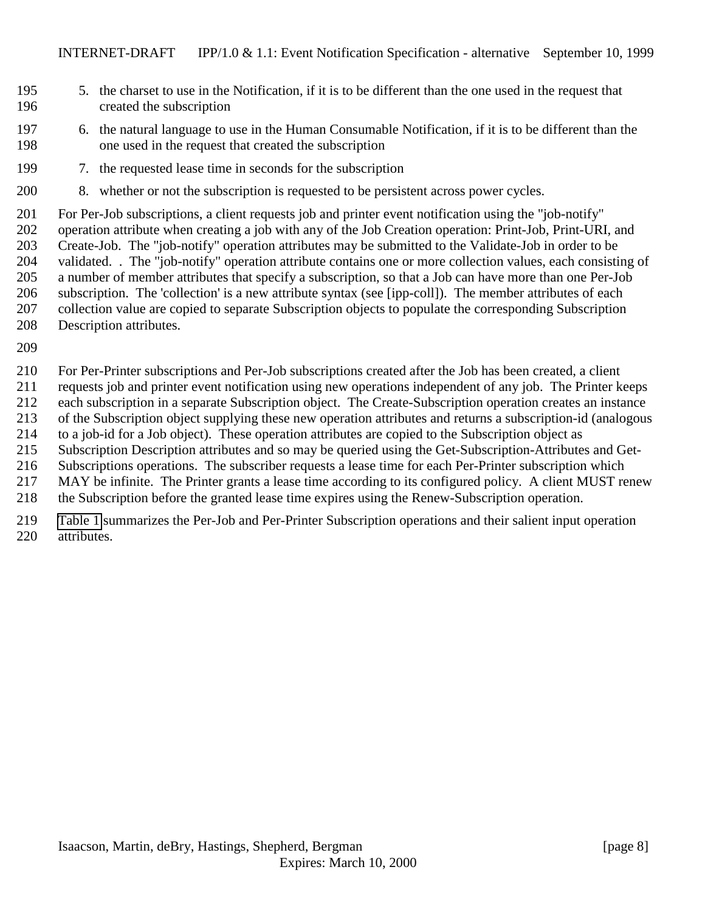- 5. the charset to use in the Notification, if it is to be different than the one used in the request that created the subscription
- 6. the natural language to use in the Human Consumable Notification, if it is to be different than the one used in the request that created the subscription
- 7. the requested lease time in seconds for the subscription
- 8. whether or not the subscription is requested to be persistent across power cycles.

 For Per-Job subscriptions, a client requests job and printer event notification using the "job-notify" operation attribute when creating a job with any of the Job Creation operation: Print-Job, Print-URI, and Create-Job. The "job-notify" operation attributes may be submitted to the Validate-Job in order to be validated. . The "job-notify" operation attribute contains one or more collection values, each consisting of a number of member attributes that specify a subscription, so that a Job can have more than one Per-Job subscription. The 'collection' is a new attribute syntax (see [ipp-coll]). The member attributes of each collection value are copied to separate Subscription objects to populate the corresponding Subscription Description attributes.

 For Per-Printer subscriptions and Per-Job subscriptions created after the Job has been created, a client requests job and printer event notification using new operations independent of any job. The Printer keeps each subscription in a separate Subscription object. The Create-Subscription operation creates an instance of the Subscription object supplying these new operation attributes and returns a subscription-id (analogous to a job-id for a Job object). These operation attributes are copied to the Subscription object as Subscription Description attributes and so may be queried using the Get-Subscription-Attributes and Get- Subscriptions operations. The subscriber requests a lease time for each Per-Printer subscription which MAY be infinite. The Printer grants a lease time according to its configured policy. A client MUST renew the Subscription before the granted lease time expires using the Renew-Subscription operation.

 [Table 1](#page-8-0) summarizes the Per-Job and Per-Printer Subscription operations and their salient input operation attributes.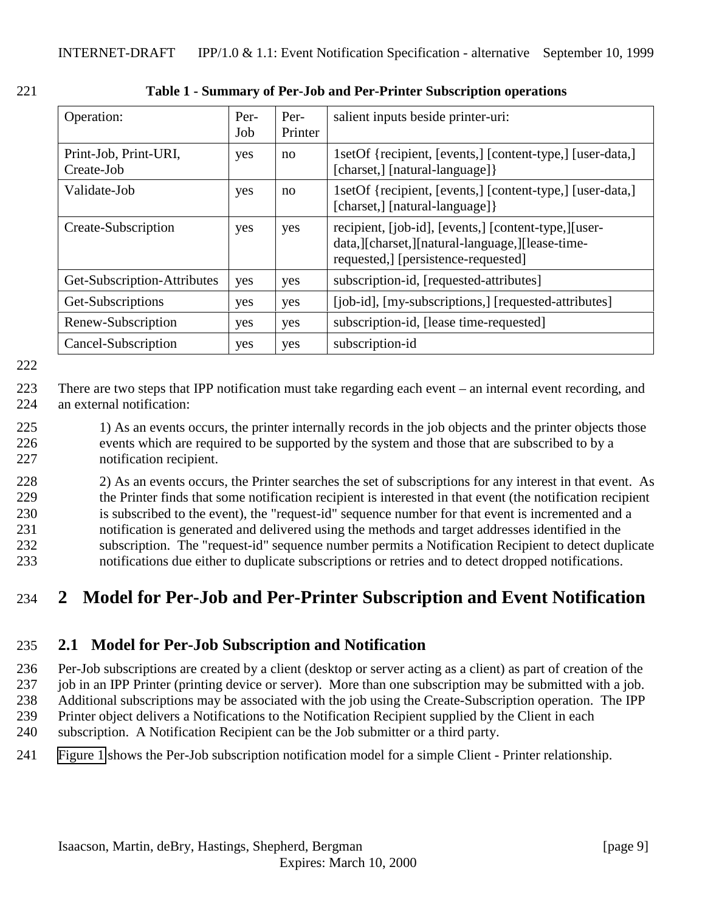| Operation:                          | Per-<br>Job | Per-<br>Printer | salient inputs beside printer-uri:                                                                                                               |
|-------------------------------------|-------------|-----------------|--------------------------------------------------------------------------------------------------------------------------------------------------|
| Print-Job, Print-URI,<br>Create-Job | yes         | no              | 1setOf {recipient, [events,] [content-type,] [user-data,]<br>[charset,] [natural-language] }                                                     |
| Validate-Job                        | yes         | no              | 1setOf {recipient, [events,] [content-type,] [user-data,]<br>[charset,] [natural-language] }                                                     |
| Create-Subscription                 | yes         | yes             | recipient, [job-id], [events,] [content-type,] [user-<br>data, [Charset, ][natural-language, ][lease-time-<br>requested, [persistence-requested] |
| Get-Subscription-Attributes         | yes         | yes             | subscription-id, [requested-attributes]                                                                                                          |
| Get-Subscriptions                   | yes         | yes             | [job-id], [my-subscriptions,] [requested-attributes]                                                                                             |
| Renew-Subscription                  | yes         | yes             | subscription-id, [lease time-requested]                                                                                                          |
| Cancel-Subscription                 | yes         | yes             | subscription-id                                                                                                                                  |

<span id="page-8-0"></span>221 **Table 1 - Summary of Per-Job and Per-Printer Subscription operations**

222

223 There are two steps that IPP notification must take regarding each event – an internal event recording, and 224 an external notification:

225 1) As an events occurs, the printer internally records in the job objects and the printer objects those 226 events which are required to be supported by the system and those that are subscribed to by a 227 notification recipient.

 2) As an events occurs, the Printer searches the set of subscriptions for any interest in that event. As the Printer finds that some notification recipient is interested in that event (the notification recipient is subscribed to the event), the "request-id" sequence number for that event is incremented and a notification is generated and delivered using the methods and target addresses identified in the subscription. The "request-id" sequence number permits a Notification Recipient to detect duplicate notifications due either to duplicate subscriptions or retries and to detect dropped notifications.

# 234 **2 Model for Per-Job and Per-Printer Subscription and Event Notification**

### 235 **2.1 Model for Per-Job Subscription and Notification**

 Per-Job subscriptions are created by a client (desktop or server acting as a client) as part of creation of the job in an IPP Printer (printing device or server). More than one subscription may be submitted with a job. Additional subscriptions may be associated with the job using the Create-Subscription operation. The IPP Printer object delivers a Notifications to the Notification Recipient supplied by the Client in each

- 240 subscription. A Notification Recipient can be the Job submitter or a third party.
- 241 [Figure 1](#page-9-0) shows the Per-Job subscription notification model for a simple Client Printer relationship.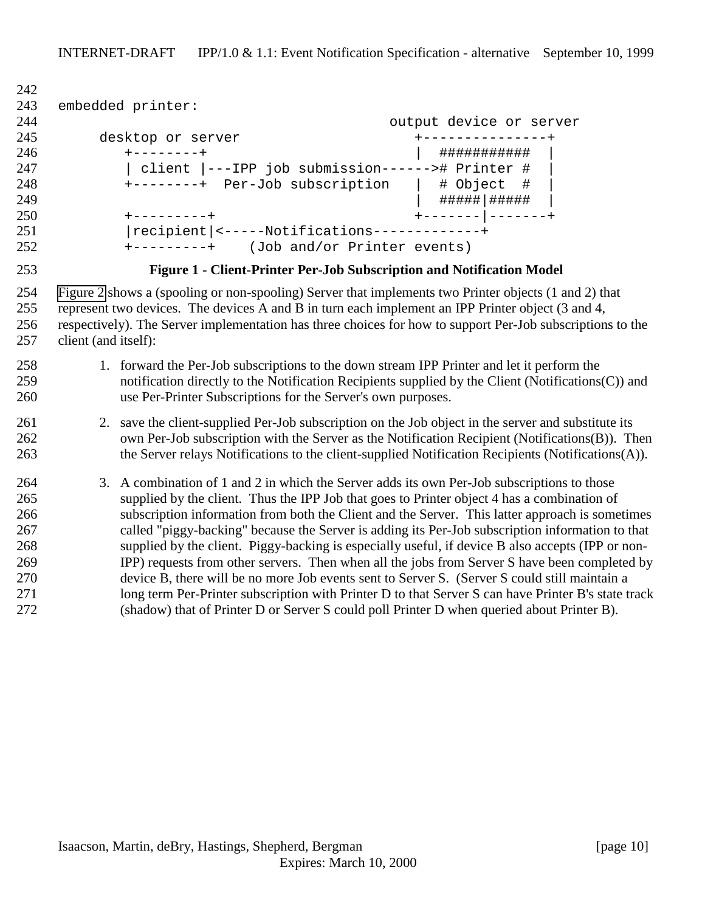```
242
243 embedded printer:
244 output device or server
245 desktop or server +---------------+
246 +--------+ | ########### |
247 | client |---IPP job submission------># Printer #
248 +--------+ Per-Job subscription | # Object #
249 | #####|##### |
250 +---------+ +-------|-------+
251 |recipient|<-----Notifications-------------+
252 +---------+ (Job and/or Printer events)
```


**Figure 1 - Client-Printer Per-Job Subscription and Notification Model**

 [Figure 2](#page-10-0) shows a (spooling or non-spooling) Server that implements two Printer objects (1 and 2) that represent two devices. The devices A and B in turn each implement an IPP Printer object (3 and 4, respectively). The Server implementation has three choices for how to support Per-Job subscriptions to the client (and itself):

### 1. forward the Per-Job subscriptions to the down stream IPP Printer and let it perform the notification directly to the Notification Recipients supplied by the Client (Notifications(C)) and use Per-Printer Subscriptions for the Server's own purposes.

#### 2. save the client-supplied Per-Job subscription on the Job object in the server and substitute its own Per-Job subscription with the Server as the Notification Recipient (Notifications(B)). Then 263 the Server relays Notifications to the client-supplied Notification Recipients (Notifications(A)).

 3. A combination of 1 and 2 in which the Server adds its own Per-Job subscriptions to those supplied by the client. Thus the IPP Job that goes to Printer object 4 has a combination of subscription information from both the Client and the Server. This latter approach is sometimes called "piggy-backing" because the Server is adding its Per-Job subscription information to that supplied by the client. Piggy-backing is especially useful, if device B also accepts (IPP or non- IPP) requests from other servers. Then when all the jobs from Server S have been completed by device B, there will be no more Job events sent to Server S. (Server S could still maintain a 271 long term Per-Printer subscription with Printer D to that Server S can have Printer B's state track (shadow) that of Printer D or Server S could poll Printer D when queried about Printer B).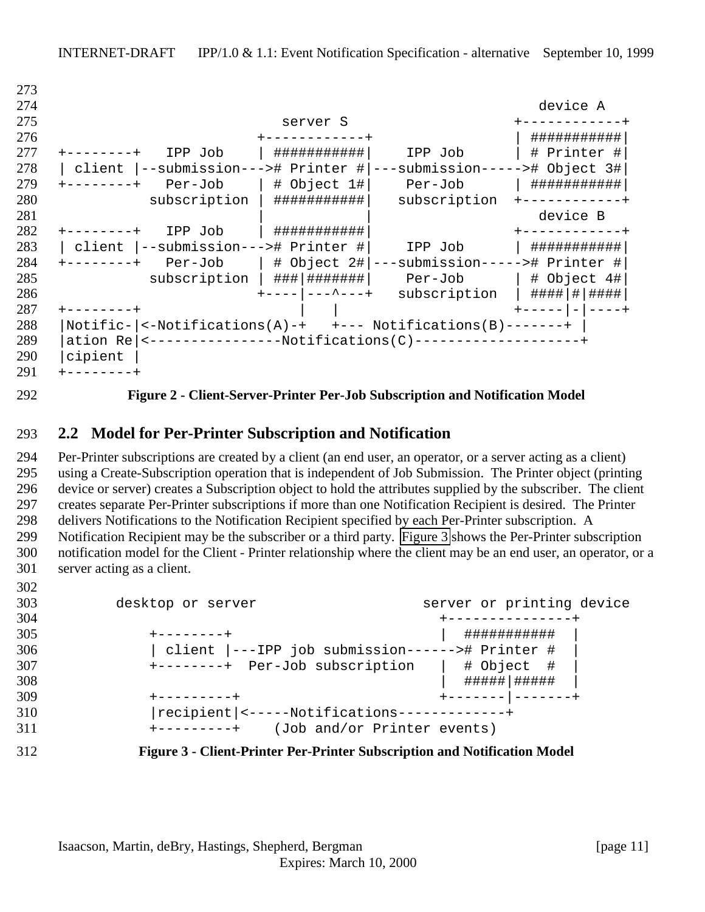| 213 |                                                                         |                  |
|-----|-------------------------------------------------------------------------|------------------|
| 274 |                                                                         | device A         |
| 275 | server S                                                                |                  |
| 276 |                                                                         | ###########      |
| 277 | ###########<br>IPP Job<br>IPP Job                                       | # Printer #      |
| 278 | --submission---># Printer #<br>--submission----<br>client               | $-$ ># Object 3# |
| 279 | $ $ # Object 1# $ $<br>Per-Job<br>Per-Job<br>$------++$                 | ###########      |
| 280 | subscription<br>###########<br>subscription                             |                  |
| 281 |                                                                         | device B         |
| 282 | ###########<br>IPP Job                                                  |                  |
| 283 | --submission---># Printer #<br>client<br>IPP Job                        | ###########      |
| 284 | ---submission-----># Printer #<br>$Per-Job$   # Object 2#<br>$------++$ |                  |
| 285 | ###   #######  <br>subscription<br>Per-Job                              | $ $ # Object 4#  |
| 286 | ---   ---^---+<br>subscription                                          | #### # ####      |
| 287 |                                                                         |                  |
| 288 | $\leq$ -Notifications(A)-+ +--- Notifications(B)-------+<br>Notific-    |                  |
| 289 | ation Re   <-----------------Notifications(C)---------------------      |                  |
| 290 | cipient                                                                 |                  |
| 291 |                                                                         |                  |

<span id="page-10-0"></span>

#### **Figure 2 - Client-Server-Printer Per-Job Subscription and Notification Model**

#### **2.2 Model for Per-Printer Subscription and Notification**

 Per-Printer subscriptions are created by a client (an end user, an operator, or a server acting as a client) using a Create-Subscription operation that is independent of Job Submission. The Printer object (printing device or server) creates a Subscription object to hold the attributes supplied by the subscriber. The client creates separate Per-Printer subscriptions if more than one Notification Recipient is desired. The Printer delivers Notifications to the Notification Recipient specified by each Per-Printer subscription. A Notification Recipient may be the subscriber or a third party. Figure 3 shows the Per-Printer subscription notification model for the Client - Printer relationship where the client may be an end user, an operator, or a server acting as a client.

| 303 | desktop or server                                                         | server or printing device |
|-----|---------------------------------------------------------------------------|---------------------------|
| 304 |                                                                           |                           |
| 305 | $+ - - - - - - - +$                                                       | . # # # # # # # # #       |
| 306 | client  ---IPP job submission------># Printer #                           |                           |
| 307 | +--------+ Per-Job subscription                                           | # Object #                |
| 308 |                                                                           |                           |
| 309 | +---------+                                                               |                           |
| 310 | recipient <-----Notifications-------------+                               |                           |
| 311 | (Job and/or Printer events)<br>$+ - - - - - - - - +$                      |                           |
| 312 | Figure 3 - Client-Printer Per-Printer Subscription and Notification Model |                           |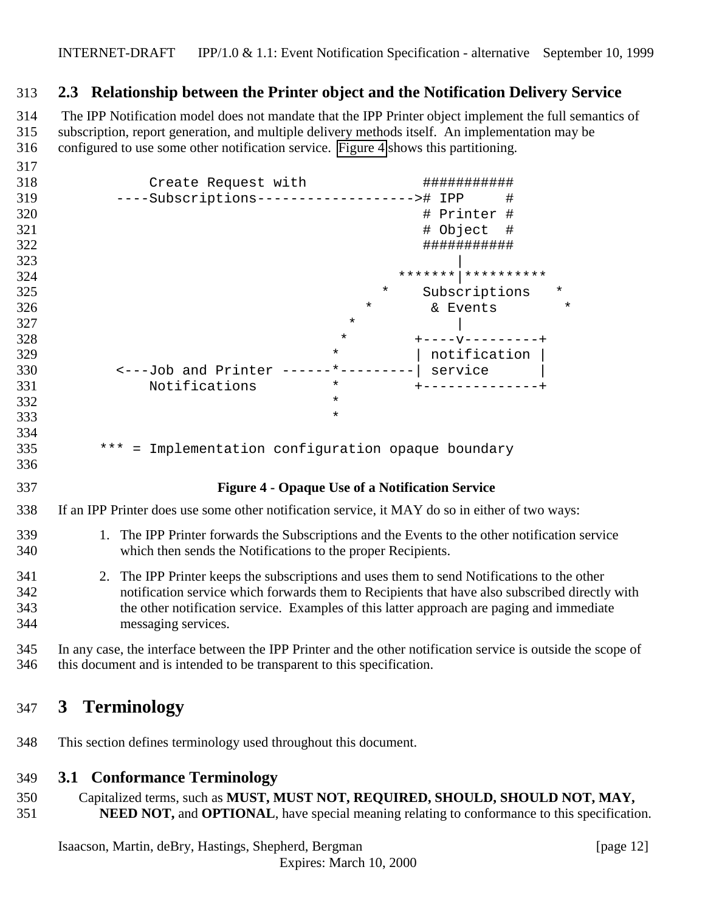### <span id="page-11-0"></span>**2.3 Relationship between the Printer object and the Notification Delivery Service**

314 The IPP Notification model does not mandate that the IPP Printer object implement the full semantics of subscription, report generation, and multiple delivery methods itself. An implementation may be configured to use some other notification service. Figure 4 shows this partitioning.

| 317 |                                                        |
|-----|--------------------------------------------------------|
| 318 | Create Request with<br>###########                     |
| 319 | ----Subscriptions--------------------># IPP<br>#       |
| 320 | # Printer #                                            |
| 321 | # Object<br>#                                          |
| 322 | ###########                                            |
| 323 |                                                        |
| 324 |                                                        |
| 325 | $^\star$<br>$\ast$<br>Subscriptions                    |
| 326 | $^\star$<br>$\star$<br>& Events                        |
| 327 | $^\star$                                               |
| 328 | $\star$<br>$+ - - - - - - - - - - +$                   |
| 329 | notification<br>$\star$                                |
| 330 | $*$ $ -$<br><---Job and Printer<br>service             |
| 331 | Notifications<br>$\star$                               |
| 332 | $\star$                                                |
| 333 | $\star$                                                |
| 334 |                                                        |
| 335 | *** = Implementation configuration opaque boundary     |
| 336 |                                                        |
| 337 | <b>Figure 4 - Opaque Use of a Notification Service</b> |

#### If an IPP Printer does use some other notification service, it MAY do so in either of two ways:

- 1. The IPP Printer forwards the Subscriptions and the Events to the other notification service which then sends the Notifications to the proper Recipients.
- 2. The IPP Printer keeps the subscriptions and uses them to send Notifications to the other notification service which forwards them to Recipients that have also subscribed directly with the other notification service. Examples of this latter approach are paging and immediate messaging services.
- In any case, the interface between the IPP Printer and the other notification service is outside the scope of this document and is intended to be transparent to this specification.

## **3 Terminology**

This section defines terminology used throughout this document.

#### **3.1 Conformance Terminology**

- Capitalized terms, such as **MUST, MUST NOT, REQUIRED, SHOULD, SHOULD NOT, MAY,**
- **NEED NOT, and OPTIONAL**, have special meaning relating to conformance to this specification.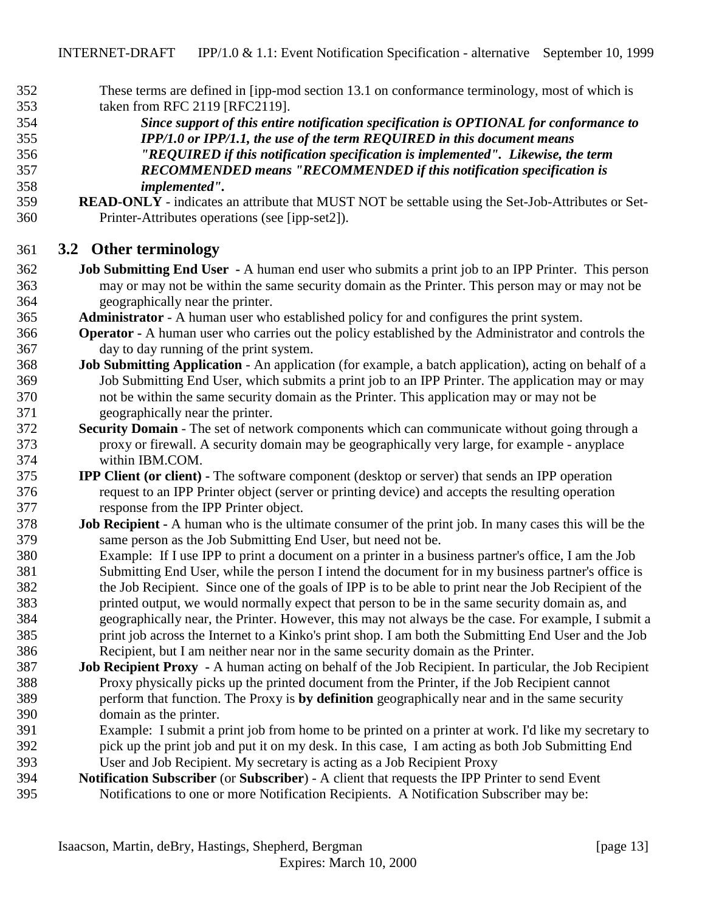- <span id="page-12-0"></span> These terms are defined in [ipp-mod section 13.1 on conformance terminology, most of which is taken from RFC 2119 [RFC2119].
- *Since support of this entire notification specification is OPTIONAL for conformance to IPP/1.0 or IPP/1.1, the use of the term REQUIRED in this document means "REQUIRED if this notification specification is implemented". Likewise, the term RECOMMENDED means "RECOMMENDED if this notification specification is implemented".*
- **READ-ONLY** indicates an attribute that MUST NOT be settable using the Set-Job-Attributes or Set-Printer-Attributes operations (see [ipp-set2]).

### **3.2 Other terminology**

- **Job Submitting End User** A human end user who submits a print job to an IPP Printer. This person may or may not be within the same security domain as the Printer. This person may or may not be geographically near the printer.
- **Administrator**  A human user who established policy for and configures the print system.
- **Operator** A human user who carries out the policy established by the Administrator and controls the day to day running of the print system.
- **Job Submitting Application** An application (for example, a batch application), acting on behalf of a Job Submitting End User, which submits a print job to an IPP Printer. The application may or may not be within the same security domain as the Printer. This application may or may not be geographically near the printer.
- **Security Domain** The set of network components which can communicate without going through a proxy or firewall. A security domain may be geographically very large, for example - anyplace within IBM.COM.
- **IPP Client (or client)** The software component (desktop or server) that sends an IPP operation request to an IPP Printer object (server or printing device) and accepts the resulting operation response from the IPP Printer object.
- **Job Recipient** A human who is the ultimate consumer of the print job. In many cases this will be the same person as the Job Submitting End User, but need not be.

 Example: If I use IPP to print a document on a printer in a business partner's office, I am the Job Submitting End User, while the person I intend the document for in my business partner's office is the Job Recipient. Since one of the goals of IPP is to be able to print near the Job Recipient of the printed output, we would normally expect that person to be in the same security domain as, and geographically near, the Printer. However, this may not always be the case. For example, I submit a print job across the Internet to a Kinko's print shop. I am both the Submitting End User and the Job Recipient, but I am neither near nor in the same security domain as the Printer.

- **Job Recipient Proxy** A human acting on behalf of the Job Recipient. In particular, the Job Recipient Proxy physically picks up the printed document from the Printer, if the Job Recipient cannot perform that function. The Proxy is **by definition** geographically near and in the same security domain as the printer.
- Example: I submit a print job from home to be printed on a printer at work. I'd like my secretary to pick up the print job and put it on my desk. In this case, I am acting as both Job Submitting End User and Job Recipient. My secretary is acting as a Job Recipient Proxy
- **Notification Subscriber** (or **Subscriber**) A client that requests the IPP Printer to send Event Notifications to one or more Notification Recipients. A Notification Subscriber may be: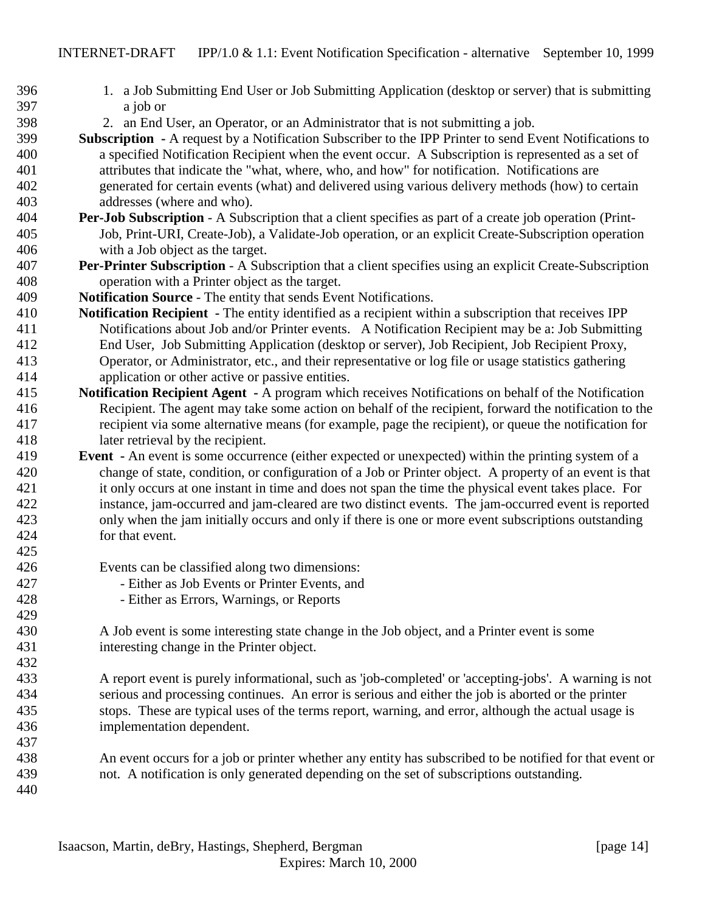- 1. a Job Submitting End User or Job Submitting Application (desktop or server) that is submitting a job or
- 2. an End User, an Operator, or an Administrator that is not submitting a job.
- **Subscription** A request by a Notification Subscriber to the IPP Printer to send Event Notifications to a specified Notification Recipient when the event occur. A Subscription is represented as a set of attributes that indicate the "what, where, who, and how" for notification. Notifications are generated for certain events (what) and delivered using various delivery methods (how) to certain addresses (where and who).
- **Per-Job Subscription** A Subscription that a client specifies as part of a create job operation (Print- Job, Print-URI, Create-Job), a Validate-Job operation, or an explicit Create-Subscription operation with a Job object as the target.
- **Per-Printer Subscription** A Subscription that a client specifies using an explicit Create-Subscription operation with a Printer object as the target.
- **Notification Source** The entity that sends Event Notifications.
- **Notification Recipient** The entity identified as a recipient within a subscription that receives IPP Notifications about Job and/or Printer events. A Notification Recipient may be a: Job Submitting End User, Job Submitting Application (desktop or server), Job Recipient, Job Recipient Proxy, Operator, or Administrator, etc., and their representative or log file or usage statistics gathering application or other active or passive entities.
- **Notification Recipient Agent** A program which receives Notifications on behalf of the Notification Recipient. The agent may take some action on behalf of the recipient, forward the notification to the recipient via some alternative means (for example, page the recipient), or queue the notification for later retrieval by the recipient.
- **Event** An event is some occurrence (either expected or unexpected) within the printing system of a change of state, condition, or configuration of a Job or Printer object. A property of an event is that it only occurs at one instant in time and does not span the time the physical event takes place. For instance, jam-occurred and jam-cleared are two distinct events. The jam-occurred event is reported only when the jam initially occurs and only if there is one or more event subscriptions outstanding for that event.
- Events can be classified along two dimensions:
- Either as Job Events or Printer Events, and
- Either as Errors, Warnings, or Reports
- A Job event is some interesting state change in the Job object, and a Printer event is some interesting change in the Printer object.
- A report event is purely informational, such as 'job-completed' or 'accepting-jobs'. A warning is not serious and processing continues. An error is serious and either the job is aborted or the printer stops. These are typical uses of the terms report, warning, and error, although the actual usage is implementation dependent.
- An event occurs for a job or printer whether any entity has subscribed to be notified for that event or not. A notification is only generated depending on the set of subscriptions outstanding.
-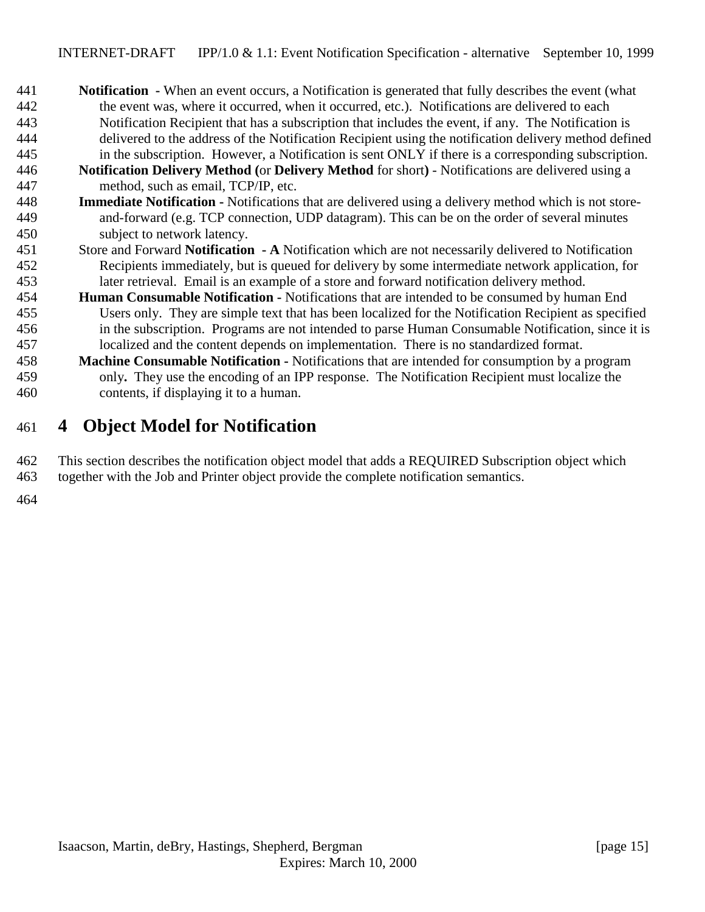- <span id="page-14-0"></span> **Notification -** When an event occurs, a Notification is generated that fully describes the event (what the event was, where it occurred, when it occurred, etc.). Notifications are delivered to each Notification Recipient that has a subscription that includes the event, if any. The Notification is delivered to the address of the Notification Recipient using the notification delivery method defined in the subscription. However, a Notification is sent ONLY if there is a corresponding subscription.
- **Notification Delivery Method (**or **Delivery Method** for short**)**  Notifications are delivered using a method, such as email, TCP/IP, etc.
- **Immediate Notification** Notifications that are delivered using a delivery method which is not store- and-forward (e.g. TCP connection, UDP datagram). This can be on the order of several minutes subject to network latency.
- Store and Forward **Notification A** Notification which are not necessarily delivered to Notification Recipients immediately, but is queued for delivery by some intermediate network application, for later retrieval. Email is an example of a store and forward notification delivery method.
- **Human Consumable Notification** Notifications that are intended to be consumed by human End Users only. They are simple text that has been localized for the Notification Recipient as specified in the subscription. Programs are not intended to parse Human Consumable Notification, since it is localized and the content depends on implementation. There is no standardized format.
- **Machine Consumable Notification** Notifications that are intended for consumption by a program only**.** They use the encoding of an IPP response. The Notification Recipient must localize the contents, if displaying it to a human.

# **4 Object Model for Notification**

 This section describes the notification object model that adds a REQUIRED Subscription object which together with the Job and Printer object provide the complete notification semantics.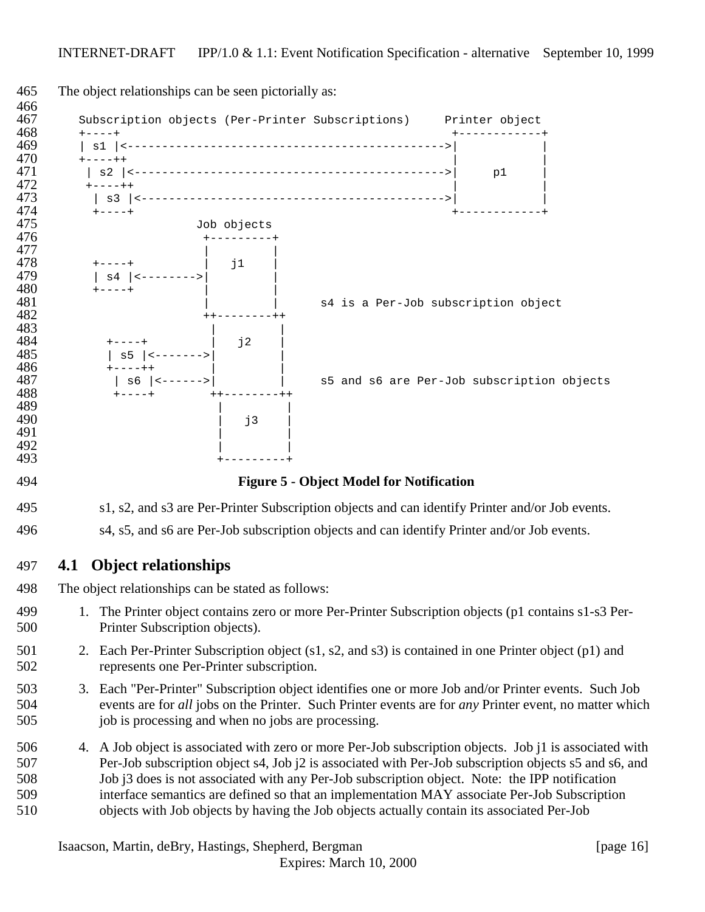<span id="page-15-0"></span>

|     | The object relationships can be seen pictorially as: |             |                                                                                                                                                                                                                                                                                                                                                                                                                                                                                                                  |    |  |
|-----|------------------------------------------------------|-------------|------------------------------------------------------------------------------------------------------------------------------------------------------------------------------------------------------------------------------------------------------------------------------------------------------------------------------------------------------------------------------------------------------------------------------------------------------------------------------------------------------------------|----|--|
|     |                                                      |             | Subscription objects (Per-Printer Subscriptions) Printer object                                                                                                                                                                                                                                                                                                                                                                                                                                                  |    |  |
|     | $- - - +$                                            |             |                                                                                                                                                                                                                                                                                                                                                                                                                                                                                                                  |    |  |
|     | $+ - - - + +$                                        |             |                                                                                                                                                                                                                                                                                                                                                                                                                                                                                                                  |    |  |
|     | $+ - - - + +$                                        |             |                                                                                                                                                                                                                                                                                                                                                                                                                                                                                                                  | p1 |  |
|     |                                                      |             |                                                                                                                                                                                                                                                                                                                                                                                                                                                                                                                  |    |  |
|     | $+ - - - - +$                                        | Job objects |                                                                                                                                                                                                                                                                                                                                                                                                                                                                                                                  |    |  |
|     |                                                      | j1          |                                                                                                                                                                                                                                                                                                                                                                                                                                                                                                                  |    |  |
|     | $+ - - - +$                                          |             | s4 is a Per-Job subscription object                                                                                                                                                                                                                                                                                                                                                                                                                                                                              |    |  |
|     |                                                      | j2          |                                                                                                                                                                                                                                                                                                                                                                                                                                                                                                                  |    |  |
|     |                                                      |             |                                                                                                                                                                                                                                                                                                                                                                                                                                                                                                                  |    |  |
|     | $s6$   $\times$ ------>                              |             | s5 and s6 are Per-Job subscription objects                                                                                                                                                                                                                                                                                                                                                                                                                                                                       |    |  |
|     |                                                      |             |                                                                                                                                                                                                                                                                                                                                                                                                                                                                                                                  |    |  |
|     |                                                      | j3          |                                                                                                                                                                                                                                                                                                                                                                                                                                                                                                                  |    |  |
|     |                                                      |             |                                                                                                                                                                                                                                                                                                                                                                                                                                                                                                                  |    |  |
|     |                                                      |             |                                                                                                                                                                                                                                                                                                                                                                                                                                                                                                                  |    |  |
|     |                                                      |             | <b>Figure 5 - Object Model for Notification</b>                                                                                                                                                                                                                                                                                                                                                                                                                                                                  |    |  |
|     |                                                      |             | s1, s2, and s3 are Per-Printer Subscription objects and can identify Printer and/or Job events.                                                                                                                                                                                                                                                                                                                                                                                                                  |    |  |
|     |                                                      |             | s4, s5, and s6 are Per-Job subscription objects and can identify Printer and/or Job events.                                                                                                                                                                                                                                                                                                                                                                                                                      |    |  |
| 4.1 | <b>Object relationships</b>                          |             |                                                                                                                                                                                                                                                                                                                                                                                                                                                                                                                  |    |  |
|     | The object relationships can be stated as follows:   |             |                                                                                                                                                                                                                                                                                                                                                                                                                                                                                                                  |    |  |
|     | Printer Subscription objects).                       |             | 1. The Printer object contains zero or more Per-Printer Subscription objects (p1 contains s1-s3 Per-                                                                                                                                                                                                                                                                                                                                                                                                             |    |  |
|     | represents one Per-Printer subscription.             |             | 2. Each Per-Printer Subscription object (s1, s2, and s3) is contained in one Printer object (p1) and                                                                                                                                                                                                                                                                                                                                                                                                             |    |  |
|     |                                                      |             | 3. Each "Per-Printer" Subscription object identifies one or more Job and/or Printer events. Such Job                                                                                                                                                                                                                                                                                                                                                                                                             |    |  |
|     | job is processing and when no jobs are processing.   |             | events are for all jobs on the Printer. Such Printer events are for any Printer event, no matter which                                                                                                                                                                                                                                                                                                                                                                                                           |    |  |
|     |                                                      |             | 4. A Job object is associated with zero or more Per-Job subscription objects. Job j1 is associated with<br>Per-Job subscription object s4, Job j2 is associated with Per-Job subscription objects s5 and s6, and<br>Job j3 does is not associated with any Per-Job subscription object. Note: the IPP notification<br>interface semantics are defined so that an implementation MAY associate Per-Job Subscription<br>objects with Job objects by having the Job objects actually contain its associated Per-Job |    |  |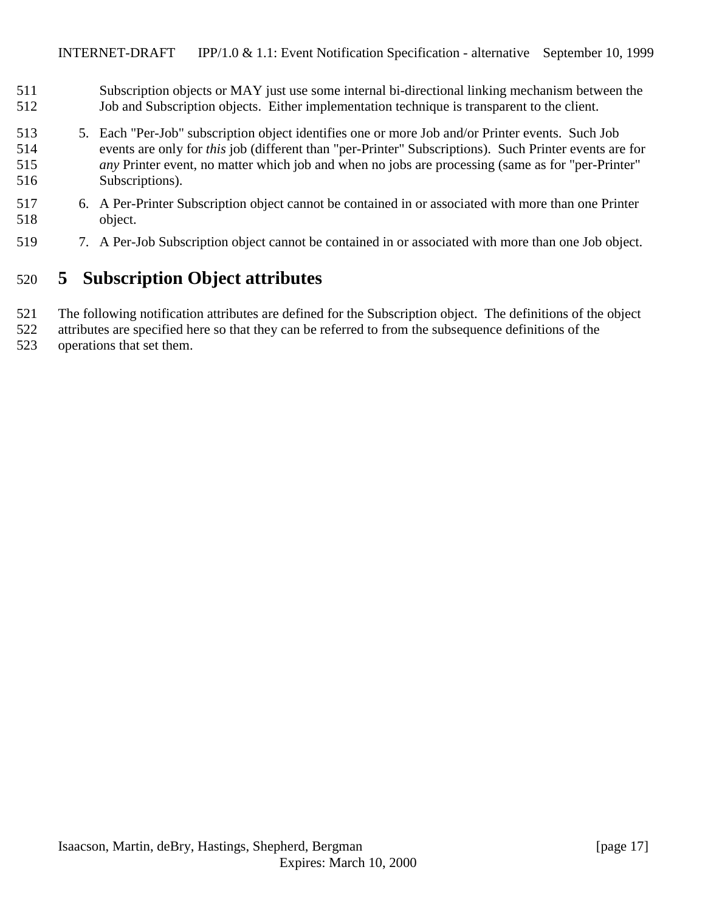- <span id="page-16-0"></span> Subscription objects or MAY just use some internal bi-directional linking mechanism between the Job and Subscription objects. Either implementation technique is transparent to the client.
- 5. Each "Per-Job" subscription object identifies one or more Job and/or Printer events. Such Job events are only for *this* job (different than "per-Printer" Subscriptions). Such Printer events are for *any* Printer event, no matter which job and when no jobs are processing (same as for "per-Printer" Subscriptions).
- 6. A Per-Printer Subscription object cannot be contained in or associated with more than one Printer object.
- 7. A Per-Job Subscription object cannot be contained in or associated with more than one Job object.

# **5 Subscription Object attributes**

- The following notification attributes are defined for the Subscription object. The definitions of the object
- attributes are specified here so that they can be referred to from the subsequence definitions of the operations that set them.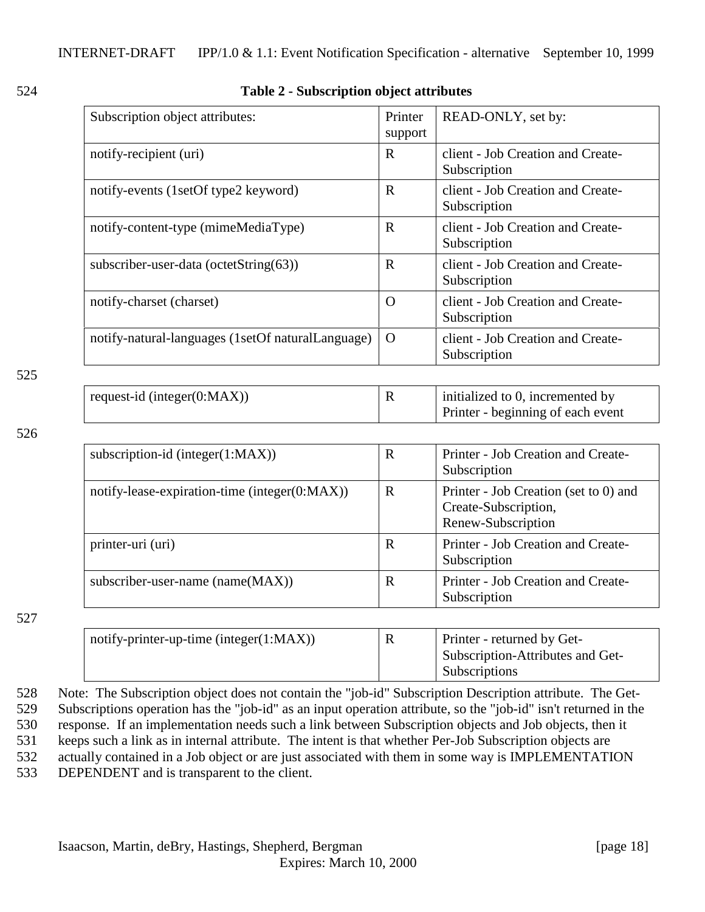<span id="page-17-0"></span>

| ×<br>۰. |  |
|---------|--|

#### 524 **Table 2 - Subscription object attributes**

| Subscription object attributes:                   | Printer<br>support | READ-ONLY, set by:                                |
|---------------------------------------------------|--------------------|---------------------------------------------------|
| notify-recipient (uri)                            | $\mathbf R$        | client - Job Creation and Create-<br>Subscription |
| notify-events (1setOf type2 keyword)              | R                  | client - Job Creation and Create-<br>Subscription |
| notify-content-type (mimeMediaType)               | R                  | client - Job Creation and Create-<br>Subscription |
| subscriber-user-data (octetString(63))            | R                  | client - Job Creation and Create-<br>Subscription |
| notify-charset (charset)                          | O                  | client - Job Creation and Create-<br>Subscription |
| notify-natural-languages (1setOf naturalLanguage) | $\Omega$           | client - Job Creation and Create-<br>Subscription |

#### 525

| request-id (integer $(0:MAX)$ ) | 17 | initialized to 0, incremented by  |
|---------------------------------|----|-----------------------------------|
|                                 |    | Printer - beginning of each event |

#### 526

| subscription-id (integer $(1:MAX)$ )          | $\mathbf R$ | Printer - Job Creation and Create-<br>Subscription                                  |
|-----------------------------------------------|-------------|-------------------------------------------------------------------------------------|
| notify-lease-expiration-time (integer(0:MAX)) | R           | Printer - Job Creation (set to 0) and<br>Create-Subscription,<br>Renew-Subscription |
| printer-uri (uri)                             | R           | Printer - Job Creation and Create-<br>Subscription                                  |
| subscriber-user-name (name(MAX))              | $\mathbf R$ | Printer - Job Creation and Create-<br>Subscription                                  |

#### 527

| notify-printer-up-time (integer $(1:MAX)$ ) | Printer - returned by Get-       |
|---------------------------------------------|----------------------------------|
|                                             | Subscription-Attributes and Get- |
|                                             | <b>Subscriptions</b>             |

 Note: The Subscription object does not contain the "job-id" Subscription Description attribute. The Get- Subscriptions operation has the "job-id" as an input operation attribute, so the "job-id" isn't returned in the response. If an implementation needs such a link between Subscription objects and Job objects, then it keeps such a link as in internal attribute. The intent is that whether Per-Job Subscription objects are actually contained in a Job object or are just associated with them in some way is IMPLEMENTATION DEPENDENT and is transparent to the client.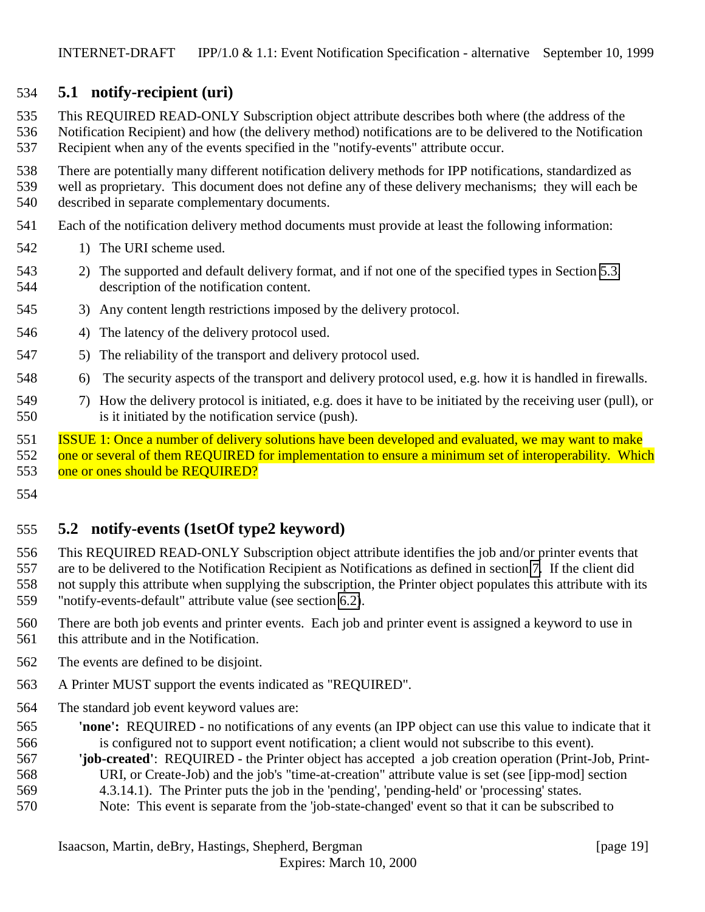### <span id="page-18-0"></span>**5.1 notify-recipient (uri)**

 This REQUIRED READ-ONLY Subscription object attribute describes both where (the address of the Notification Recipient) and how (the delivery method) notifications are to be delivered to the Notification

Recipient when any of the events specified in the "notify-events" attribute occur.

 There are potentially many different notification delivery methods for IPP notifications, standardized as well as proprietary. This document does not define any of these delivery mechanisms; they will each be

described in separate complementary documents.

- Each of the notification delivery method documents must provide at least the following information:
- 542 1) The URI scheme used.
- 2) The supported and default delivery format, and if not one of the specified types in Section [5.3,](#page-21-0) description of the notification content.
- 3) Any content length restrictions imposed by the delivery protocol.
- 4) The latency of the delivery protocol used.
- 5) The reliability of the transport and delivery protocol used.
- 6) The security aspects of the transport and delivery protocol used, e.g. how it is handled in firewalls.
- 7) How the delivery protocol is initiated, e.g. does it have to be initiated by the receiving user (pull), or is it initiated by the notification service (push).

 ISSUE 1: Once a number of delivery solutions have been developed and evaluated, we may want to make one or several of them REQUIRED for implementation to ensure a minimum set of interoperability. Which 553 one or ones should be REQUIRED?

### **5.2 notify-events (1setOf type2 keyword)**

 This REQUIRED READ-ONLY Subscription object attribute identifies the job and/or printer events that are to be delivered to the Notification Recipient as Notifications as defined in section [7.](#page-26-0) If the client did not supply this attribute when supplying the subscription, the Printer object populates this attribute with its "notify-events-default" attribute value (see section [6.2\)](#page-24-0).

 There are both job events and printer events. Each job and printer event is assigned a keyword to use in this attribute and in the Notification.

- The events are defined to be disjoint.
- A Printer MUST support the events indicated as "REQUIRED".
- The standard job event keyword values are:
- **'none':** REQUIRED no notifications of any events (an IPP object can use this value to indicate that it is configured not to support event notification; a client would not subscribe to this event).
- **'job-created'**: REQUIRED the Printer object has accepted a job creation operation (Print-Job, Print-URI, or Create-Job) and the job's "time-at-creation" attribute value is set (see [ipp-mod] section
- 4.3.14.1). The Printer puts the job in the 'pending', 'pending-held' or 'processing' states.
- Note: This event is separate from the 'job-state-changed' event so that it can be subscribed to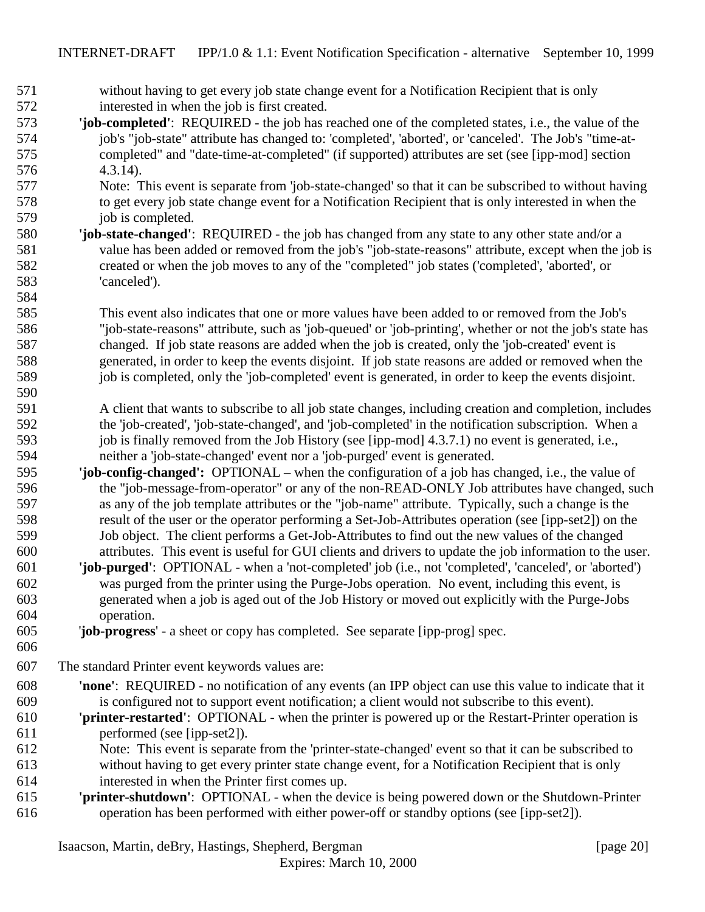- without having to get every job state change event for a Notification Recipient that is only interested in when the job is first created.
- **'job-completed'**: REQUIRED the job has reached one of the completed states, i.e., the value of the job's "job-state" attribute has changed to: 'completed', 'aborted', or 'canceled'. The Job's "time-at- completed" and "date-time-at-completed" (if supported) attributes are set (see [ipp-mod] section 4.3.14).
- Note: This event is separate from 'job-state-changed' so that it can be subscribed to without having to get every job state change event for a Notification Recipient that is only interested in when the 579 job is completed.
- **'job-state-changed'**: REQUIRED the job has changed from any state to any other state and/or a value has been added or removed from the job's "job-state-reasons" attribute, except when the job is created or when the job moves to any of the "completed" job states ('completed', 'aborted', or 'canceled').

 This event also indicates that one or more values have been added to or removed from the Job's "job-state-reasons" attribute, such as 'job-queued' or 'job-printing', whether or not the job's state has changed. If job state reasons are added when the job is created, only the 'job-created' event is generated, in order to keep the events disjoint. If job state reasons are added or removed when the job is completed, only the 'job-completed' event is generated, in order to keep the events disjoint. 

- A client that wants to subscribe to all job state changes, including creation and completion, includes the 'job-created', 'job-state-changed', and 'job-completed' in the notification subscription. When a 593 job is finally removed from the Job History (see [ipp-mod] 4.3.7.1) no event is generated, i.e., neither a 'job-state-changed' event nor a 'job-purged' event is generated.
- **'job-config-changed':** OPTIONAL when the configuration of a job has changed, i.e., the value of the "job-message-from-operator" or any of the non-READ-ONLY Job attributes have changed, such as any of the job template attributes or the "job-name" attribute. Typically, such a change is the result of the user or the operator performing a Set-Job-Attributes operation (see [ipp-set2]) on the Job object. The client performs a Get-Job-Attributes to find out the new values of the changed attributes. This event is useful for GUI clients and drivers to update the job information to the user.
- **'job-purged'**: OPTIONAL when a 'not-completed' job (i.e., not 'completed', 'canceled', or 'aborted') was purged from the printer using the Purge-Jobs operation. No event, including this event, is generated when a job is aged out of the Job History or moved out explicitly with the Purge-Jobs operation.
- '**job-progress**' a sheet or copy has completed. See separate [ipp-prog] spec.
- 

The standard Printer event keywords values are:

- **'none'**: REQUIRED no notification of any events (an IPP object can use this value to indicate that it is configured not to support event notification; a client would not subscribe to this event).
- **'printer-restarted'**: OPTIONAL when the printer is powered up or the Restart-Printer operation is performed (see [ipp-set2]).
- Note: This event is separate from the 'printer-state-changed' event so that it can be subscribed to without having to get every printer state change event, for a Notification Recipient that is only interested in when the Printer first comes up.
- **'printer-shutdown'**: OPTIONAL when the device is being powered down or the Shutdown-Printer operation has been performed with either power-off or standby options (see [ipp-set2]).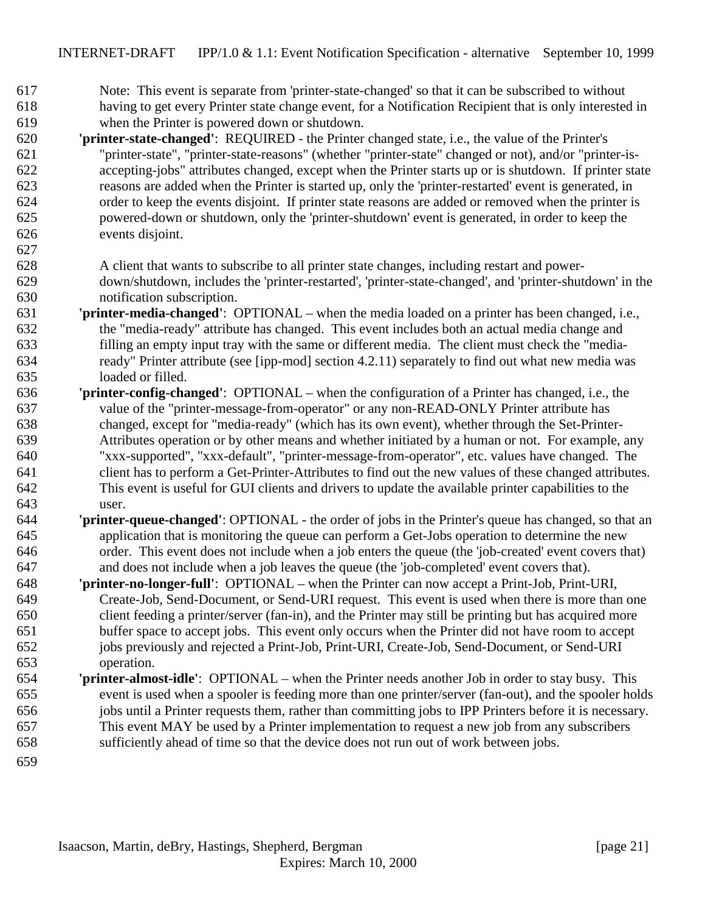- Note: This event is separate from 'printer-state-changed' so that it can be subscribed to without having to get every Printer state change event, for a Notification Recipient that is only interested in when the Printer is powered down or shutdown.
- **'printer-state-changed'**: REQUIRED the Printer changed state, i.e., the value of the Printer's "printer-state", "printer-state-reasons" (whether "printer-state" changed or not), and/or "printer-is- accepting-jobs" attributes changed, except when the Printer starts up or is shutdown. If printer state reasons are added when the Printer is started up, only the 'printer-restarted' event is generated, in order to keep the events disjoint. If printer state reasons are added or removed when the printer is powered-down or shutdown, only the 'printer-shutdown' event is generated, in order to keep the events disjoint.
- 
- A client that wants to subscribe to all printer state changes, including restart and power- down/shutdown, includes the 'printer-restarted', 'printer-state-changed', and 'printer-shutdown' in the notification subscription.
- **'printer-media-changed'**:OPTIONAL when the media loaded on a printer has been changed, i.e., the "media-ready" attribute has changed. This event includes both an actual media change and filling an empty input tray with the same or different media. The client must check the "media- ready" Printer attribute (see [ipp-mod] section 4.2.11) separately to find out what new media was loaded or filled.
- **'printer-config-changed'**:OPTIONAL when the configuration of a Printer has changed, i.e., the value of the "printer-message-from-operator" or any non-READ-ONLY Printer attribute has changed, except for "media-ready" (which has its own event), whether through the Set-Printer- Attributes operation or by other means and whether initiated by a human or not. For example, any "xxx-supported", "xxx-default", "printer-message-from-operator", etc. values have changed. The client has to perform a Get-Printer-Attributes to find out the new values of these changed attributes. This event is useful for GUI clients and drivers to update the available printer capabilities to the user.
- **'printer-queue-changed'**: OPTIONAL the order of jobs in the Printer's queue has changed, so that an application that is monitoring the queue can perform a Get-Jobs operation to determine the new order. This event does not include when a job enters the queue (the 'job-created' event covers that) and does not include when a job leaves the queue (the 'job-completed' event covers that).
- **'printer-no-longer-full'**: OPTIONAL when the Printer can now accept a Print-Job, Print-URI, Create-Job, Send-Document, or Send-URI request. This event is used when there is more than one client feeding a printer/server (fan-in), and the Printer may still be printing but has acquired more buffer space to accept jobs. This event only occurs when the Printer did not have room to accept jobs previously and rejected a Print-Job, Print-URI, Create-Job, Send-Document, or Send-URI operation.
- **'printer-almost-idle'**:OPTIONAL when the Printer needs another Job in order to stay busy. This event is used when a spooler is feeding more than one printer/server (fan-out), and the spooler holds jobs until a Printer requests them, rather than committing jobs to IPP Printers before it is necessary. This event MAY be used by a Printer implementation to request a new job from any subscribers sufficiently ahead of time so that the device does not run out of work between jobs.
-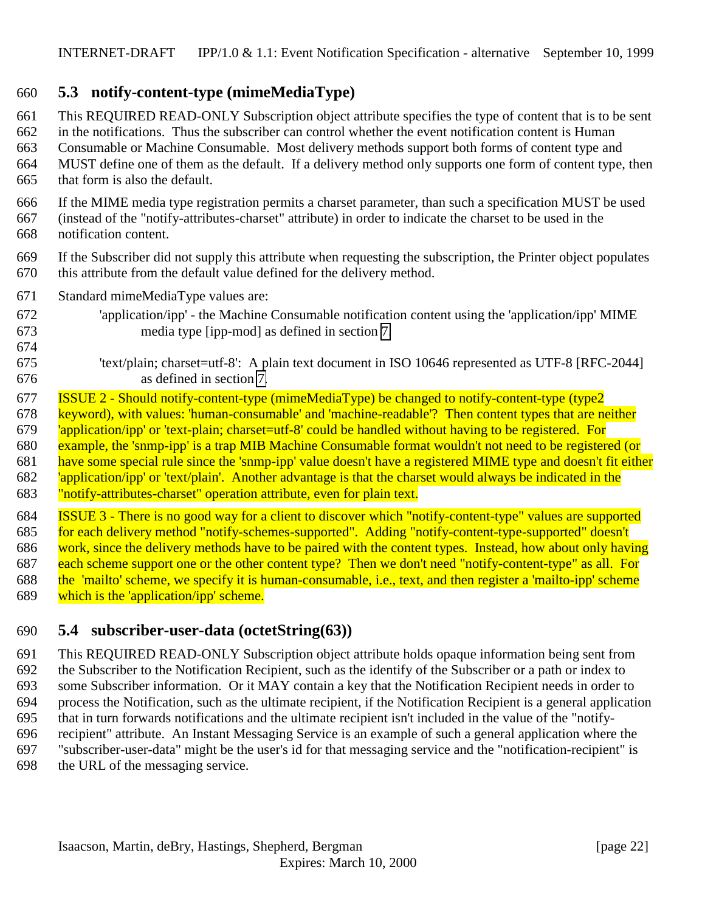### <span id="page-21-0"></span>**5.3 notify-content-type (mimeMediaType)**

 This REQUIRED READ-ONLY Subscription object attribute specifies the type of content that is to be sent in the notifications. Thus the subscriber can control whether the event notification content is Human Consumable or Machine Consumable. Most delivery methods support both forms of content type and MUST define one of them as the default. If a delivery method only supports one form of content type, then that form is also the default.

- If the MIME media type registration permits a charset parameter, than such a specification MUST be used (instead of the "notify-attributes-charset" attribute) in order to indicate the charset to be used in the notification content.
- If the Subscriber did not supply this attribute when requesting the subscription, the Printer object populates this attribute from the default value defined for the delivery method.
- Standard mimeMediaType values are:

- 'application/ipp' the Machine Consumable notification content using the 'application/ipp' MIME media type [ipp-mod] as defined in section [7.](#page-26-0)
- 'text/plain; charset=utf-8': A plain text document in ISO 10646 represented as UTF-8 [RFC-2044] as defined in section [7.](#page-26-0)
- ISSUE 2 Should notify-content-type (mimeMediaType) be changed to notify-content-type (type2
- keyword), with values: 'human-consumable' and 'machine-readable'? Then content types that are neither
- 'application/ipp' or 'text-plain; charset=utf-8' could be handled without having to be registered. For
- example, the 'snmp-ipp' is a trap MIB Machine Consumable format wouldn't not need to be registered (or
- 681 have some special rule since the 'snmp-ipp' value doesn't have a registered MIME type and doesn't fit either
- 'application/ipp' or 'text/plain'. Another advantage is that the charset would always be indicated in the
	- "notify-attributes-charset" operation attribute, even for plain text.

 ISSUE 3 - There is no good way for a client to discover which "notify-content-type" values are supported for each delivery method "notify-schemes-supported". Adding "notify-content-type-supported" doesn't 686 work, since the delivery methods have to be paired with the content types. Instead, how about only having 687 each scheme support one or the other content type? Then we don't need "notify-content-type" as all. For the 'mailto' scheme, we specify it is human-consumable, i.e., text, and then register a 'mailto-ipp' scheme which is the 'application/ipp' scheme.

### **5.4 subscriber-user-data (octetString(63))**

 This REQUIRED READ-ONLY Subscription object attribute holds opaque information being sent from the Subscriber to the Notification Recipient, such as the identify of the Subscriber or a path or index to some Subscriber information. Or it MAY contain a key that the Notification Recipient needs in order to process the Notification, such as the ultimate recipient, if the Notification Recipient is a general application that in turn forwards notifications and the ultimate recipient isn't included in the value of the "notify- recipient" attribute. An Instant Messaging Service is an example of such a general application where the "subscriber-user-data" might be the user's id for that messaging service and the "notification-recipient" is the URL of the messaging service.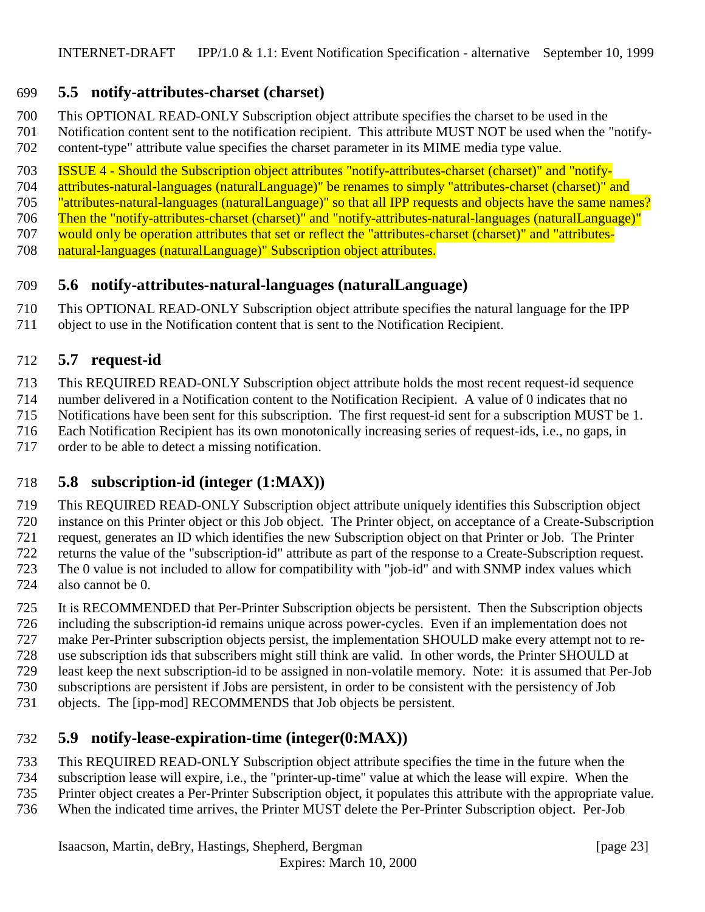### <span id="page-22-0"></span>**5.5 notify-attributes-charset (charset)**

This OPTIONAL READ-ONLY Subscription object attribute specifies the charset to be used in the

Notification content sent to the notification recipient. This attribute MUST NOT be used when the "notify-

content-type" attribute value specifies the charset parameter in its MIME media type value.

ISSUE 4 - Should the Subscription object attributes "notify-attributes-charset (charset)" and "notify-

attributes-natural-languages (naturalLanguage)" be renames to simply "attributes-charset (charset)" and

"attributes-natural-languages (naturalLanguage)" so that all IPP requests and objects have the same names?

 Then the "notify-attributes-charset (charset)" and "notify-attributes-natural-languages (naturalLanguage)" would only be operation attributes that set or reflect the "attributes-charset (charset)" and "attributes-

natural-languages (naturalLanguage)" Subscription object attributes.

# **5.6 notify-attributes-natural-languages (naturalLanguage)**

This OPTIONAL READ-ONLY Subscription object attribute specifies the natural language for the IPP

object to use in the Notification content that is sent to the Notification Recipient.

### **5.7 request-id**

This REQUIRED READ-ONLY Subscription object attribute holds the most recent request-id sequence

number delivered in a Notification content to the Notification Recipient. A value of 0 indicates that no

Notifications have been sent for this subscription. The first request-id sent for a subscription MUST be 1.

Each Notification Recipient has its own monotonically increasing series of request-ids, i.e., no gaps, in

order to be able to detect a missing notification.

### **5.8 subscription-id (integer (1:MAX))**

 This REQUIRED READ-ONLY Subscription object attribute uniquely identifies this Subscription object instance on this Printer object or this Job object. The Printer object, on acceptance of a Create-Subscription request, generates an ID which identifies the new Subscription object on that Printer or Job. The Printer returns the value of the "subscription-id" attribute as part of the response to a Create-Subscription request. The 0 value is not included to allow for compatibility with "job-id" and with SNMP index values which also cannot be 0.

 It is RECOMMENDED that Per-Printer Subscription objects be persistent. Then the Subscription objects including the subscription-id remains unique across power-cycles. Even if an implementation does not

make Per-Printer subscription objects persist, the implementation SHOULD make every attempt not to re-

use subscription ids that subscribers might still think are valid. In other words, the Printer SHOULD at

least keep the next subscription-id to be assigned in non-volatile memory. Note: it is assumed that Per-Job

subscriptions are persistent if Jobs are persistent, in order to be consistent with the persistency of Job

objects. The [ipp-mod] RECOMMENDS that Job objects be persistent.

## **5.9 notify-lease-expiration-time (integer(0:MAX))**

This REQUIRED READ-ONLY Subscription object attribute specifies the time in the future when the

subscription lease will expire, i.e., the "printer-up-time" value at which the lease will expire. When the

- Printer object creates a Per-Printer Subscription object, it populates this attribute with the appropriate value.
- When the indicated time arrives, the Printer MUST delete the Per-Printer Subscription object. Per-Job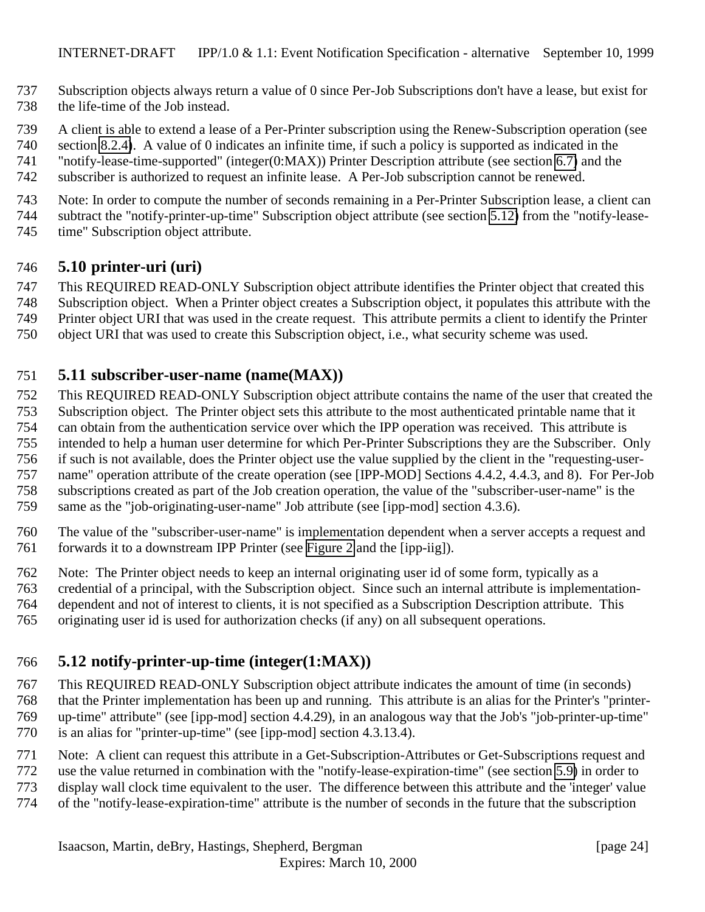- <span id="page-23-0"></span> Subscription objects always return a value of 0 since Per-Job Subscriptions don't have a lease, but exist for the life-time of the Job instead.
- A client is able to extend a lease of a Per-Printer subscription using the Renew-Subscription operation (see
- section [8.2.4\)](#page-35-0). A value of 0 indicates an infinite time, if such a policy is supported as indicated in the
- "notify-lease-time-supported" (integer(0:MAX)) Printer Description attribute (see section [6.7\)](#page-25-0) and the
- subscriber is authorized to request an infinite lease. A Per-Job subscription cannot be renewed.
- Note: In order to compute the number of seconds remaining in a Per-Printer Subscription lease, a client can subtract the "notify-printer-up-time" Subscription object attribute (see section 5.12) from the "notify-lease-time" Subscription object attribute.

### **5.10 printer-uri (uri)**

- This REQUIRED READ-ONLY Subscription object attribute identifies the Printer object that created this
- Subscription object. When a Printer object creates a Subscription object, it populates this attribute with the
- Printer object URI that was used in the create request. This attribute permits a client to identify the Printer
- object URI that was used to create this Subscription object, i.e., what security scheme was used.

### **5.11 subscriber-user-name (name(MAX))**

- This REQUIRED READ-ONLY Subscription object attribute contains the name of the user that created the
- Subscription object. The Printer object sets this attribute to the most authenticated printable name that it
- can obtain from the authentication service over which the IPP operation was received. This attribute is
- intended to help a human user determine for which Per-Printer Subscriptions they are the Subscriber. Only
- if such is not available, does the Printer object use the value supplied by the client in the "requesting-user-
- name" operation attribute of the create operation (see [IPP-MOD] Sections 4.4.2, 4.4.3, and 8). For Per-Job
- subscriptions created as part of the Job creation operation, the value of the "subscriber-user-name" is the same as the "job-originating-user-name" Job attribute (see [ipp-mod] section 4.3.6).
- 
- The value of the "subscriber-user-name" is implementation dependent when a server accepts a request and forwards it to a downstream IPP Printer (see [Figure 2](#page-10-0) and the [ipp-iig]).
- Note: The Printer object needs to keep an internal originating user id of some form, typically as a
- credential of a principal, with the Subscription object. Since such an internal attribute is implementation-
- dependent and not of interest to clients, it is not specified as a Subscription Description attribute. This
- originating user id is used for authorization checks (if any) on all subsequent operations.

## **5.12 notify-printer-up-time (integer(1:MAX))**

- This REQUIRED READ-ONLY Subscription object attribute indicates the amount of time (in seconds) that the Printer implementation has been up and running. This attribute is an alias for the Printer's "printer- up-time" attribute" (see [ipp-mod] section 4.4.29), in an analogous way that the Job's "job-printer-up-time" is an alias for "printer-up-time" (see [ipp-mod] section 4.3.13.4).
- Note: A client can request this attribute in a Get-Subscription-Attributes or Get-Subscriptions request and
- use the value returned in combination with the "notify-lease-expiration-time" (see section [5.9\)](#page-22-0) in order to
- display wall clock time equivalent to the user. The difference between this attribute and the 'integer' value
- of the "notify-lease-expiration-time" attribute is the number of seconds in the future that the subscription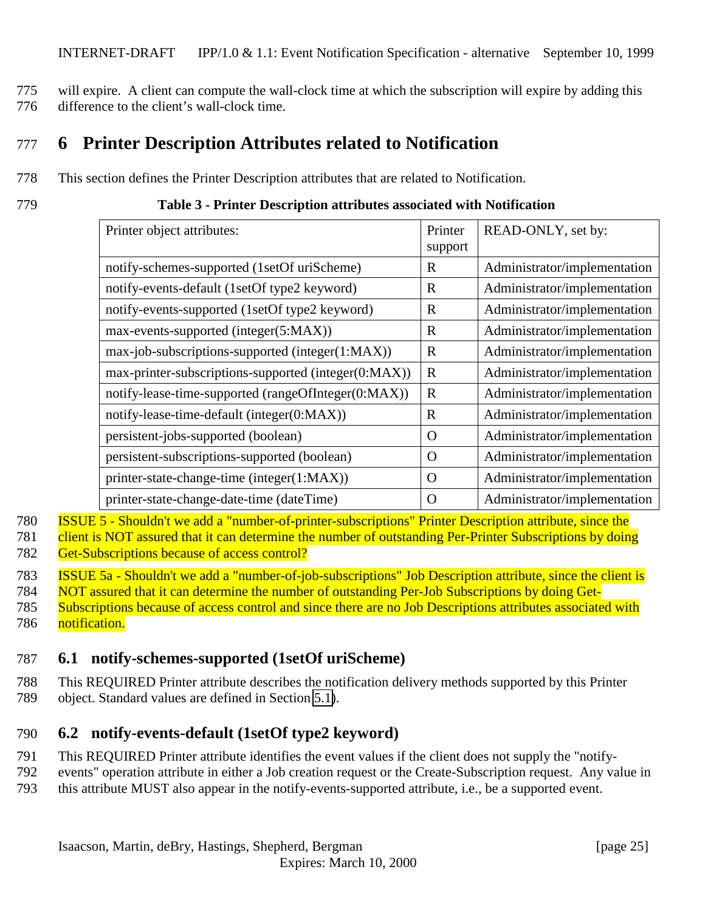<span id="page-24-0"></span>775 will expire. A client can compute the wall-clock time at which the subscription will expire by adding this 776 difference to the client's wall-clock time.

# 777 **6 Printer Description Attributes related to Notification**

778 This section defines the Printer Description attributes that are related to Notification.

779 **Table 3 - Printer Description attributes associated with Notification**

| Printer object attributes:                           | Printer     | READ-ONLY, set by:           |
|------------------------------------------------------|-------------|------------------------------|
|                                                      | support     |                              |
| notify-schemes-supported (1setOf uriScheme)          | R           | Administrator/implementation |
| notify-events-default (1setOf type2 keyword)         | R           | Administrator/implementation |
| notify-events-supported (1setOf type2 keyword)       | R           | Administrator/implementation |
| max-events-supported (integer(5:MAX))                | $\mathbf R$ | Administrator/implementation |
| max-job-subscriptions-supported (integer(1:MAX))     | $\mathbf R$ | Administrator/implementation |
| max-printer-subscriptions-supported (integer(0:MAX)) | $\mathbf R$ | Administrator/implementation |
| notify-lease-time-supported (rangeOfInteger(0:MAX))  | $\mathbf R$ | Administrator/implementation |
| notify-lease-time-default (integer(0:MAX))           | $\mathbf R$ | Administrator/implementation |
| persistent-jobs-supported (boolean)                  | $\Omega$    | Administrator/implementation |
| persistent-subscriptions-supported (boolean)         | $\Omega$    | Administrator/implementation |
| printer-state-change-time (integer(1:MAX))           | $\Omega$    | Administrator/implementation |
| printer-state-change-date-time (dateTime)            | $\Omega$    | Administrator/implementation |

780 ISSUE 5 - Shouldn't we add a "number-of-printer-subscriptions" Printer Description attribute, since the

781 client is NOT assured that it can determine the number of outstanding Per-Printer Subscriptions by doing

782 Get-Subscriptions because of access control?

783 ISSUE 5a - Shouldn't we add a "number-of-job-subscriptions" Job Description attribute, since the client is

784 NOT assured that it can determine the number of outstanding Per-Job Subscriptions by doing Get-

785 Subscriptions because of access control and since there are no Job Descriptions attributes associated with 786 notification.

### 787 **6.1 notify-schemes-supported (1setOf uriScheme)**

788 This REQUIRED Printer attribute describes the notification delivery methods supported by this Printer 789 object. Standard values are defined in Section [5.1\)](#page-18-0).

### 790 **6.2 notify-events-default (1setOf type2 keyword)**

- 791 This REQUIRED Printer attribute identifies the event values if the client does not supply the "notify-
- 792 events" operation attribute in either a Job creation request or the Create-Subscription request. Any value in
- 793 this attribute MUST also appear in the notify-events-supported attribute, i.e., be a supported event.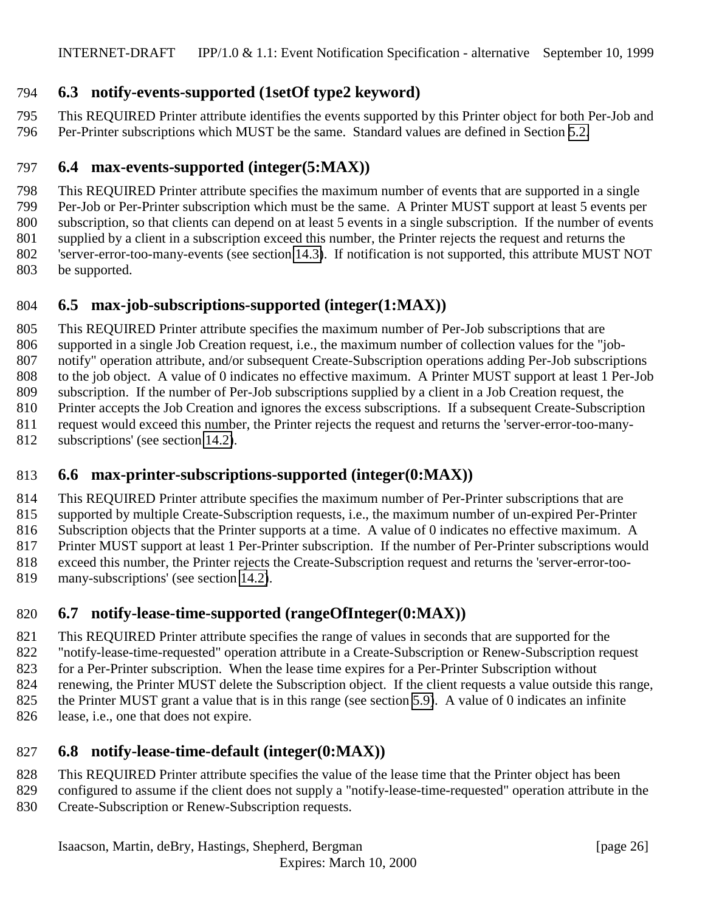### <span id="page-25-0"></span>**6.3 notify-events-supported (1setOf type2 keyword)**

 This REQUIRED Printer attribute identifies the events supported by this Printer object for both Per-Job and Per-Printer subscriptions which MUST be the same. Standard values are defined in Section [5.2.](#page-18-0)

### **6.4 max-events-supported (integer(5:MAX))**

 This REQUIRED Printer attribute specifies the maximum number of events that are supported in a single Per-Job or Per-Printer subscription which must be the same. A Printer MUST support at least 5 events per

subscription, so that clients can depend on at least 5 events in a single subscription. If the number of events

supplied by a client in a subscription exceed this number, the Printer rejects the request and returns the

'server-error-too-many-events (see section [14.3\)](#page-39-0). If notification is not supported, this attribute MUST NOT

be supported.

### **6.5 max-job-subscriptions-supported (integer(1:MAX))**

 This REQUIRED Printer attribute specifies the maximum number of Per-Job subscriptions that are supported in a single Job Creation request, i.e., the maximum number of collection values for the "job- notify" operation attribute, and/or subsequent Create-Subscription operations adding Per-Job subscriptions to the job object. A value of 0 indicates no effective maximum. A Printer MUST support at least 1 Per-Job subscription. If the number of Per-Job subscriptions supplied by a client in a Job Creation request, the Printer accepts the Job Creation and ignores the excess subscriptions. If a subsequent Create-Subscription request would exceed this number, the Printer rejects the request and returns the 'server-error-too-many-

subscriptions' (see section [14.2\)](#page-39-0).

### **6.6 max-printer-subscriptions-supported (integer(0:MAX))**

 This REQUIRED Printer attribute specifies the maximum number of Per-Printer subscriptions that are supported by multiple Create-Subscription requests, i.e., the maximum number of un-expired Per-Printer Subscription objects that the Printer supports at a time. A value of 0 indicates no effective maximum. A Printer MUST support at least 1 Per-Printer subscription. If the number of Per-Printer subscriptions would exceed this number, the Printer rejects the Create-Subscription request and returns the 'server-error-too-

819 many-subscriptions' (see section [14.2\)](#page-39-0).

## **6.7 notify-lease-time-supported (rangeOfInteger(0:MAX))**

This REQUIRED Printer attribute specifies the range of values in seconds that are supported for the

"notify-lease-time-requested" operation attribute in a Create-Subscription or Renew-Subscription request

for a Per-Printer subscription. When the lease time expires for a Per-Printer Subscription without

renewing, the Printer MUST delete the Subscription object. If the client requests a value outside this range,

- the Printer MUST grant a value that is in this range (see section [5.9\)](#page-22-0). A value of 0 indicates an infinite
- 826 lease, i.e., one that does not expire.

### **6.8 notify-lease-time-default (integer(0:MAX))**

- This REQUIRED Printer attribute specifies the value of the lease time that the Printer object has been
- configured to assume if the client does not supply a "notify-lease-time-requested" operation attribute in the Create-Subscription or Renew-Subscription requests.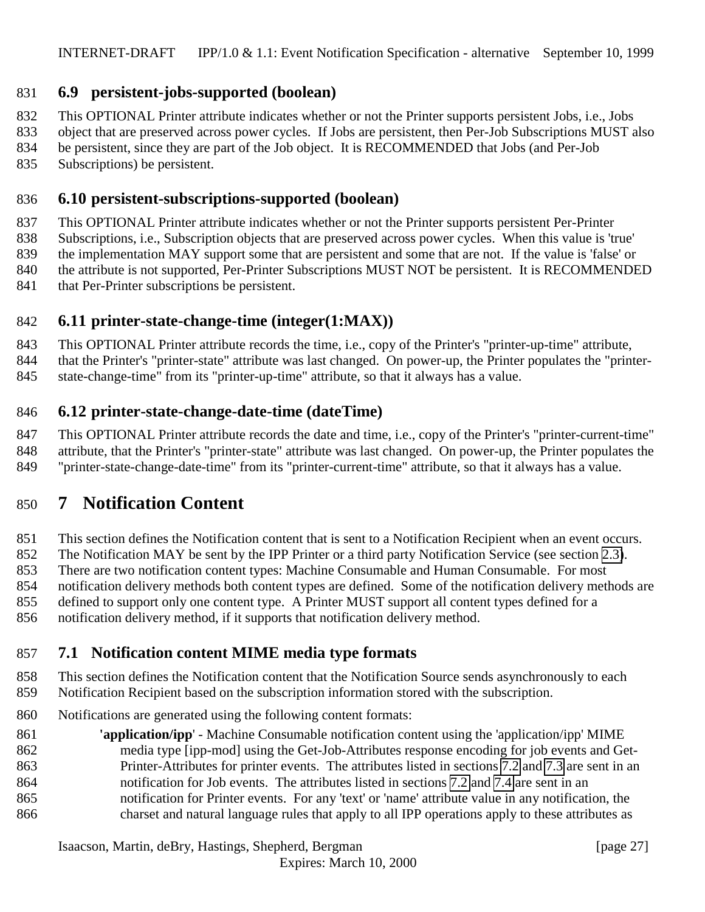### <span id="page-26-0"></span>**6.9 persistent-jobs-supported (boolean)**

This OPTIONAL Printer attribute indicates whether or not the Printer supports persistent Jobs, i.e., Jobs

 object that are preserved across power cycles. If Jobs are persistent, then Per-Job Subscriptions MUST also be persistent, since they are part of the Job object. It is RECOMMENDED that Jobs (and Per-Job

Subscriptions) be persistent.

### **6.10 persistent-subscriptions-supported (boolean)**

 This OPTIONAL Printer attribute indicates whether or not the Printer supports persistent Per-Printer Subscriptions, i.e., Subscription objects that are preserved across power cycles. When this value is 'true'

the implementation MAY support some that are persistent and some that are not. If the value is 'false' or

840 the attribute is not supported, Per-Printer Subscriptions MUST NOT be persistent. It is RECOMMENDED

841 that Per-Printer subscriptions be persistent.

# **6.11 printer-state-change-time (integer(1:MAX))**

 This OPTIONAL Printer attribute records the time, i.e., copy of the Printer's "printer-up-time" attribute, that the Printer's "printer-state" attribute was last changed. On power-up, the Printer populates the "printer-state-change-time" from its "printer-up-time" attribute, so that it always has a value.

# **6.12 printer-state-change-date-time (dateTime)**

This OPTIONAL Printer attribute records the date and time, i.e., copy of the Printer's "printer-current-time"

 attribute, that the Printer's "printer-state" attribute was last changed. On power-up, the Printer populates the "printer-state-change-date-time" from its "printer-current-time" attribute, so that it always has a value.

# **7 Notification Content**

This section defines the Notification content that is sent to a Notification Recipient when an event occurs.

The Notification MAY be sent by the IPP Printer or a third party Notification Service (see section [2.3\)](#page-11-0).

There are two notification content types: Machine Consumable and Human Consumable. For most

notification delivery methods both content types are defined. Some of the notification delivery methods are

defined to support only one content type. A Printer MUST support all content types defined for a

notification delivery method, if it supports that notification delivery method.

# **7.1 Notification content MIME media type formats**

 This section defines the Notification content that the Notification Source sends asynchronously to each Notification Recipient based on the subscription information stored with the subscription.

- Notifications are generated using the following content formats:
- **'application/ipp**' Machine Consumable notification content using the 'application/ipp' MIME media type [ipp-mod] using the Get-Job-Attributes response encoding for job events and Get- Printer-Attributes for printer events. The attributes listed in sections [7.2](#page-27-0) and [7.3](#page-29-0) are sent in an notification for Job events. The attributes listed in sections [7.2](#page-27-0) and [7.4](#page-29-0) are sent in an notification for Printer events. For any 'text' or 'name' attribute value in any notification, the charset and natural language rules that apply to all IPP operations apply to these attributes as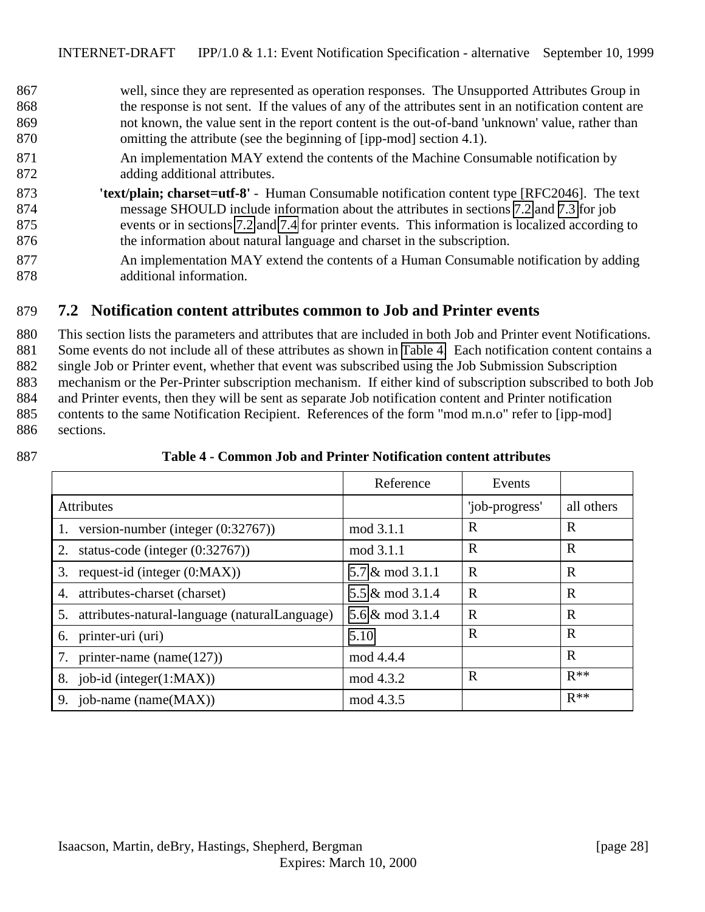<span id="page-27-0"></span> well, since they are represented as operation responses. The Unsupported Attributes Group in the response is not sent. If the values of any of the attributes sent in an notification content are not known, the value sent in the report content is the out-of-band 'unknown' value, rather than omitting the attribute (see the beginning of [ipp-mod] section 4.1). An implementation MAY extend the contents of the Machine Consumable notification by adding additional attributes.

- 873 **'text/plain; charset=utf-8'** Human Consumable notification content type [RFC2046]. The text 874 message SHOULD include information about the attributes in sections [7.2](#page-30-0) and [7.3](#page-29-0) for job 875 events or in sections 7.2 and [7.4](#page-29-0) for printer events. This information is localized according to 876 the information about natural language and charset in the subscription.
- 877 An implementation MAY extend the contents of a Human Consumable notification by adding 878 additional information.

### 879 **7.2 Notification content attributes common to Job and Printer events**

 This section lists the parameters and attributes that are included in both Job and Printer event Notifications. Some events do not include all of these attributes as shown in Table 4. Each notification content contains a single Job or Printer event, whether that event was subscribed using the Job Submission Subscription mechanism or the Per-Printer subscription mechanism. If either kind of subscription subscribed to both Job and Printer events, then they will be sent as separate Job notification content and Printer notification contents to the same Notification Recipient. References of the form "mod m.n.o" refer to [ipp-mod] sections.

|                                                  | Reference       | Events         |              |
|--------------------------------------------------|-----------------|----------------|--------------|
| <b>Attributes</b>                                |                 | 'job-progress' | all others   |
| 1. version-number (integer $(0.32767)$ )         | mod 3.1.1       | R              | $\mathbf R$  |
| 2. status-code (integer $(0.32767)$ )            | mod 3.1.1       | $\mathbf R$    | $\mathbf R$  |
| 3. request-id (integer $(0:MAX)$ )               | 5.7 & mod 3.1.1 | $\mathbf R$    | $\mathbf{R}$ |
| 4. attributes-charset (charset)                  | 5.5 & mod 3.1.4 | $\mathbf R$    | $\mathbf R$  |
| 5. attributes-natural-language (naturalLanguage) | 5.6 & mod 3.1.4 | $\mathbf R$    | $\mathbf R$  |
| 6. printer-uri (uri)                             | 5.10            | $\mathbf R$    | $\mathbf R$  |
| 7. printer-name (name( $127$ ))                  | mod 4.4.4       |                | $\mathbf R$  |
| 8. job-id (integer $(1:MAX)$ )                   | mod 4.3.2       | $\mathbf R$    | $R^{**}$     |
| 9. job-name (name $(MAX)$ )                      | mod 4.3.5       |                | $R**$        |

#### 887 **Table 4 - Common Job and Printer Notification content attributes**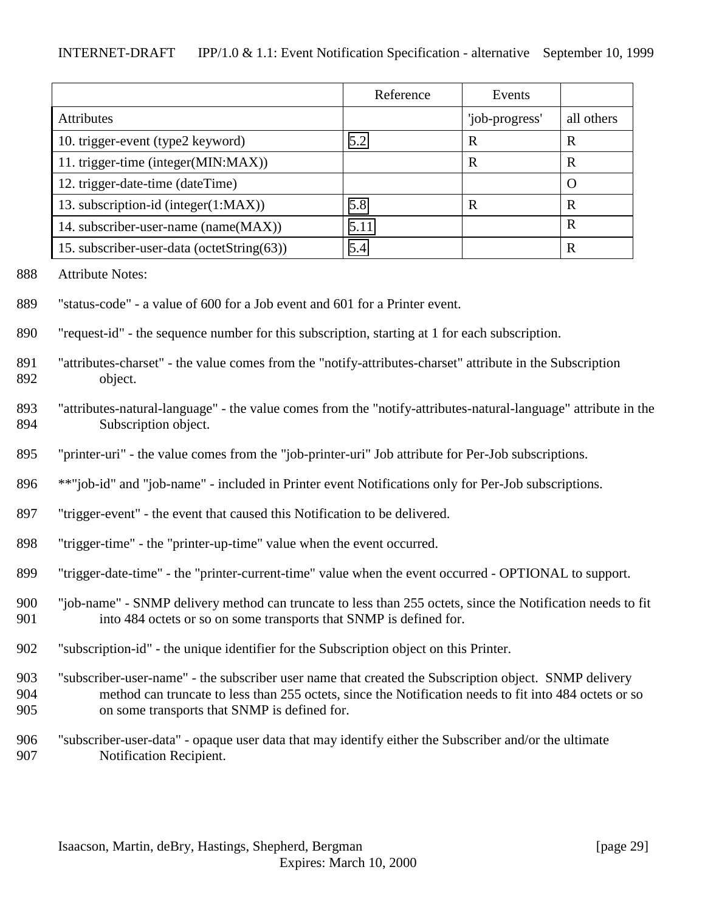|                                            | Reference | Events         |            |
|--------------------------------------------|-----------|----------------|------------|
| <b>Attributes</b>                          |           | 'job-progress' | all others |
| 10. trigger-event (type2 keyword)          | 5.2       | R              | R          |
| 11. trigger-time (integer(MIN:MAX))        |           | $\mathbf R$    | R          |
| 12. trigger-date-time (dateTime)           |           |                | O          |
| 13. subscription-id (integer(1:MAX))       | 5.8       | R              | R          |
| 14. subscriber-user-name (name(MAX))       | 5.11      |                | R          |
| 15. subscriber-user-data (octetString(63)) | 5.4       |                | R          |

- Attribute Notes:
- "status-code" a value of 600 for a Job event and 601 for a Printer event.
- "request-id" the sequence number for this subscription, starting at 1 for each subscription.
- "attributes-charset" the value comes from the "notify-attributes-charset" attribute in the Subscription object.
- "attributes-natural-language" the value comes from the "notify-attributes-natural-language" attribute in the Subscription object.
- "printer-uri" the value comes from the "job-printer-uri" Job attribute for Per-Job subscriptions.
- \*\*"job-id" and "job-name" included in Printer event Notifications only for Per-Job subscriptions.
- "trigger-event" the event that caused this Notification to be delivered.
- "trigger-time" the "printer-up-time" value when the event occurred.
- "trigger-date-time" the "printer-current-time" value when the event occurred OPTIONAL to support.
- "job-name" SNMP delivery method can truncate to less than 255 octets, since the Notification needs to fit into 484 octets or so on some transports that SNMP is defined for.
- "subscription-id" the unique identifier for the Subscription object on this Printer.
- "subscriber-user-name" the subscriber user name that created the Subscription object. SNMP delivery method can truncate to less than 255 octets, since the Notification needs to fit into 484 octets or so on some transports that SNMP is defined for.
- "subscriber-user-data" opaque user data that may identify either the Subscriber and/or the ultimate Notification Recipient.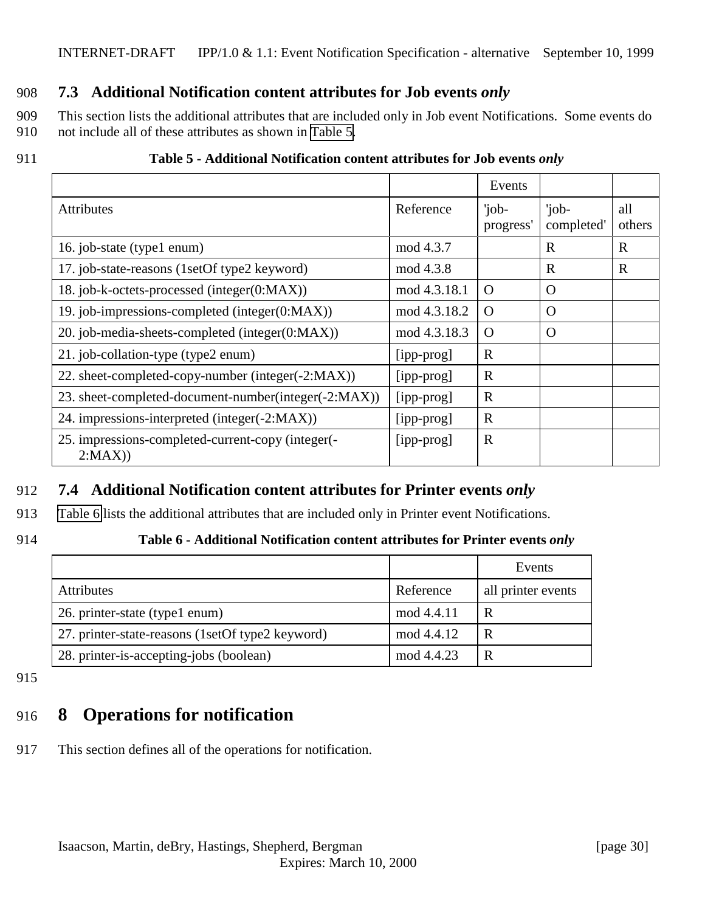### <span id="page-29-0"></span>908 **7.3 Additional Notification content attributes for Job events** *only*

909 This section lists the additional attributes that are included only in Job event Notifications. Some events do 910 not include all of these attributes as shown in Table 5.

#### 911 **Table 5 - Additional Notification content attributes for Job events** *only*

|                                                             |              | Events             |                     |               |
|-------------------------------------------------------------|--------------|--------------------|---------------------|---------------|
| <b>Attributes</b>                                           | Reference    | 'job-<br>progress' | 'job-<br>completed' | all<br>others |
| 16. job-state (type1 enum)                                  | mod 4.3.7    |                    | $\mathbf R$         | $\mathbf R$   |
| 17. job-state-reasons (1setOf type2 keyword)                | mod 4.3.8    |                    | $\mathbf R$         | $\mathbf R$   |
| 18. job-k-octets-processed (integer(0:MAX))                 | mod 4.3.18.1 | $\Omega$           | O                   |               |
| 19. job-impressions-completed (integer(0:MAX))              | mod 4.3.18.2 | $\Omega$           | O                   |               |
| 20. job-media-sheets-completed (integer(0:MAX))             | mod 4.3.18.3 | $\Omega$           | O                   |               |
| 21. job-collation-type (type2 enum)                         | [ipp-prog]   | $\mathbf R$        |                     |               |
| 22. sheet-completed-copy-number (integer(-2:MAX))           | [ipp-prog]   | $\mathbb{R}$       |                     |               |
| 23. sheet-completed-document-number(integer(-2:MAX))        | [ipp-prog]   | $\mathbf R$        |                     |               |
| 24. impressions-interpreted (integer(-2:MAX))               | [ipp-prog]   | $\mathbf R$        |                     |               |
| 25. impressions-completed-current-copy (integer(-<br>2:MAX) | [ipp-prog]   | $\mathbb{R}$       |                     |               |

### 912 **7.4 Additional Notification content attributes for Printer events** *only*

- 913 Table 6 lists the additional attributes that are included only in Printer event Notifications.
- 

#### 914 **Table 6 - Additional Notification content attributes for Printer events** *only*

|                                                  |            | Events             |
|--------------------------------------------------|------------|--------------------|
| <b>Attributes</b>                                | Reference  | all printer events |
| 26. printer-state (type1 enum)                   | mod 4.4.11 | R                  |
| 27. printer-state-reasons (1setOf type2 keyword) | mod 4.4.12 | R                  |
| 28. printer-is-accepting-jobs (boolean)          | mod 4.4.23 | R                  |

915

# 916 **8 Operations for notification**

917 This section defines all of the operations for notification.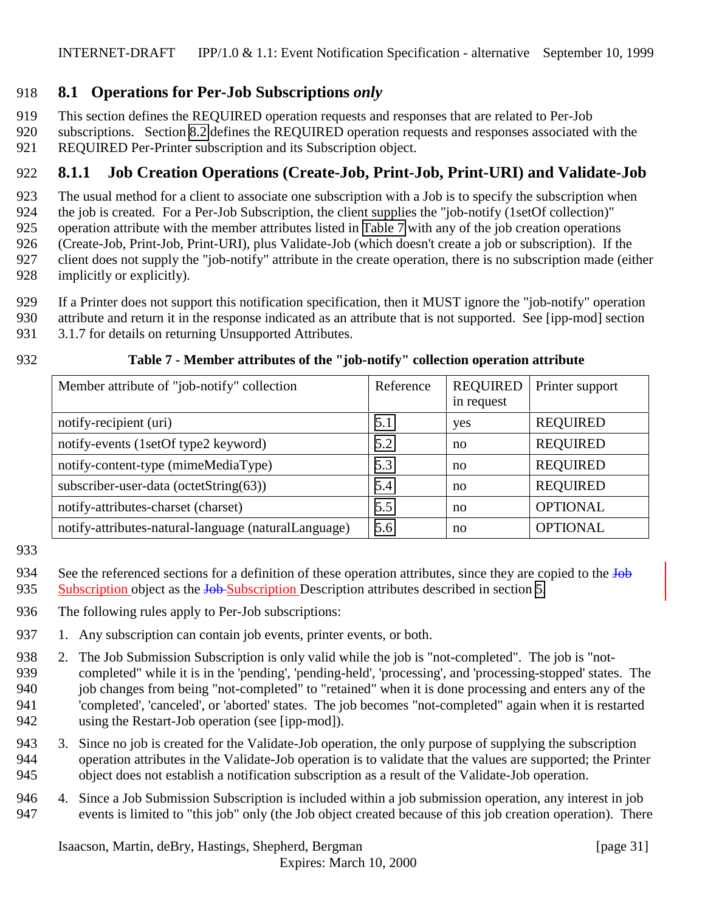### <span id="page-30-0"></span>918 **8.1 Operations for Per-Job Subscriptions** *only*

919 This section defines the REQUIRED operation requests and responses that are related to Per-Job

920 subscriptions. Section [8.2](#page-31-0) defines the REQUIRED operation requests and responses associated with the 921 REQUIRED Per-Printer subscription and its Subscription object.

## 922 **8.1.1 Job Creation Operations (Create-Job, Print-Job, Print-URI) and Validate-Job**

923 The usual method for a client to associate one subscription with a Job is to specify the subscription when

924 the job is created. For a Per-Job Subscription, the client supplies the "job-notify (1setOf collection)"

925 operation attribute with the member attributes listed in Table 7 with any of the job creation operations

926 (Create-Job, Print-Job, Print-URI), plus Validate-Job (which doesn't create a job or subscription). If the

927 client does not supply the "job-notify" attribute in the create operation, there is no subscription made (either

- 928 implicitly or explicitly).
- 929 If a Printer does not support this notification specification, then it MUST ignore the "job-notify" operation
- 930 attribute and return it in the response indicated as an attribute that is not supported. See [ipp-mod] section
	- 931 3.1.7 for details on returning Unsupported Attributes.

### 932 **Table 7 - Member attributes of the "job-notify" collection operation attribute**

| Member attribute of "job-notify" collection          | Reference | <b>REQUIRED</b><br>in request | Printer support |
|------------------------------------------------------|-----------|-------------------------------|-----------------|
| notify-recipient (uri)                               | 5.1       | yes                           | <b>REQUIRED</b> |
| notify-events (1setOf type2 keyword)                 | 5.2       | no                            | <b>REQUIRED</b> |
| notify-content-type (mimeMediaType)                  | 5.3       | no                            | <b>REQUIRED</b> |
| subscriber-user-data (octetString(63))               | 5.4       | no                            | <b>REQUIRED</b> |
| notify-attributes-charset (charset)                  | 5.5       | no                            | <b>OPTIONAL</b> |
| notify-attributes-natural-language (naturalLanguage) | 5.6       | no                            | <b>OPTIONAL</b> |

933

- 936 The following rules apply to Per-Job subscriptions:
- 937 1. Any subscription can contain job events, printer events, or both.
- 938 2. The Job Submission Subscription is only valid while the job is "not-completed". The job is "not-939 completed" while it is in the 'pending', 'pending-held', 'processing', and 'processing-stopped' states. The 940 job changes from being "not-completed" to "retained" when it is done processing and enters any of the 941 'completed', 'canceled', or 'aborted' states. The job becomes "not-completed" again when it is restarted 942 using the Restart-Job operation (see [ipp-mod]).
- 943 3. Since no job is created for the Validate-Job operation, the only purpose of supplying the subscription 944 operation attributes in the Validate-Job operation is to validate that the values are supported; the Printer 945 object does not establish a notification subscription as a result of the Validate-Job operation.
- 946 4. Since a Job Submission Subscription is included within a job submission operation, any interest in job 947 events is limited to "this job" only (the Job object created because of this job creation operation). There

<sup>934</sup> See the referenced sections for a definition of these operation attributes, since they are copied to the  $\overline{Job}$ 935 Subscription object as the Job-Subscription Description attributes described in section [5.](#page-16-0)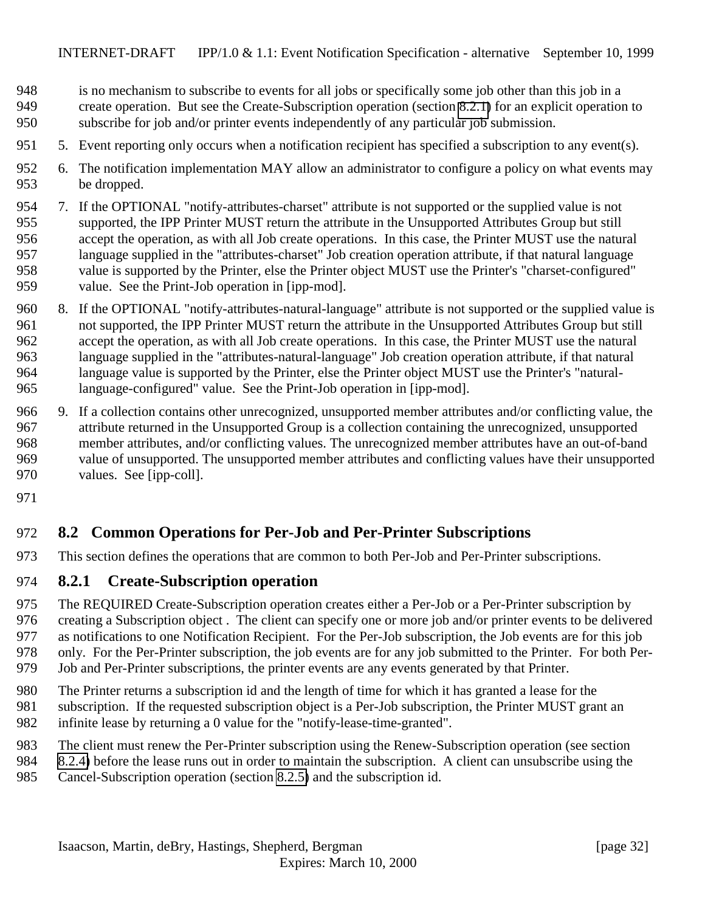- <span id="page-31-0"></span>is no mechanism to subscribe to events for all jobs or specifically some job other than this job in a
- create operation. But see the Create-Subscription operation (section 8.2.1) for an explicit operation to subscribe for job and/or printer events independently of any particular job submission.
- 5. Event reporting only occurs when a notification recipient has specified a subscription to any event(s).
- 6. The notification implementation MAY allow an administrator to configure a policy on what events may be dropped.
- 7. If the OPTIONAL "notify-attributes-charset" attribute is not supported or the supplied value is not supported, the IPP Printer MUST return the attribute in the Unsupported Attributes Group but still accept the operation, as with all Job create operations. In this case, the Printer MUST use the natural language supplied in the "attributes-charset" Job creation operation attribute, if that natural language value is supported by the Printer, else the Printer object MUST use the Printer's "charset-configured" value. See the Print-Job operation in [ipp-mod].
- 8. If the OPTIONAL "notify-attributes-natural-language" attribute is not supported or the supplied value is not supported, the IPP Printer MUST return the attribute in the Unsupported Attributes Group but still accept the operation, as with all Job create operations. In this case, the Printer MUST use the natural language supplied in the "attributes-natural-language" Job creation operation attribute, if that natural language value is supported by the Printer, else the Printer object MUST use the Printer's "natural-language-configured" value. See the Print-Job operation in [ipp-mod].
- 9. If a collection contains other unrecognized, unsupported member attributes and/or conflicting value, the attribute returned in the Unsupported Group is a collection containing the unrecognized, unsupported member attributes, and/or conflicting values. The unrecognized member attributes have an out-of-band value of unsupported. The unsupported member attributes and conflicting values have their unsupported values. See [ipp-coll].
- 

### **8.2 Common Operations for Per-Job and Per-Printer Subscriptions**

This section defines the operations that are common to both Per-Job and Per-Printer subscriptions.

### **8.2.1 Create-Subscription operation**

 The REQUIRED Create-Subscription operation creates either a Per-Job or a Per-Printer subscription by creating a Subscription object . The client can specify one or more job and/or printer events to be delivered as notifications to one Notification Recipient. For the Per-Job subscription, the Job events are for this job only. For the Per-Printer subscription, the job events are for any job submitted to the Printer. For both Per-Job and Per-Printer subscriptions, the printer events are any events generated by that Printer.

- The Printer returns a subscription id and the length of time for which it has granted a lease for the subscription. If the requested subscription object is a Per-Job subscription, the Printer MUST grant an
- infinite lease by returning a 0 value for the "notify-lease-time-granted".
- The client must renew the Per-Printer subscription using the Renew-Subscription operation (see section
- [8.2.4\)](#page-35-0) before the lease runs out in order to maintain the subscription. A client can unsubscribe using the
- Cancel-Subscription operation (section [8.2.5\)](#page-36-0) and the subscription id.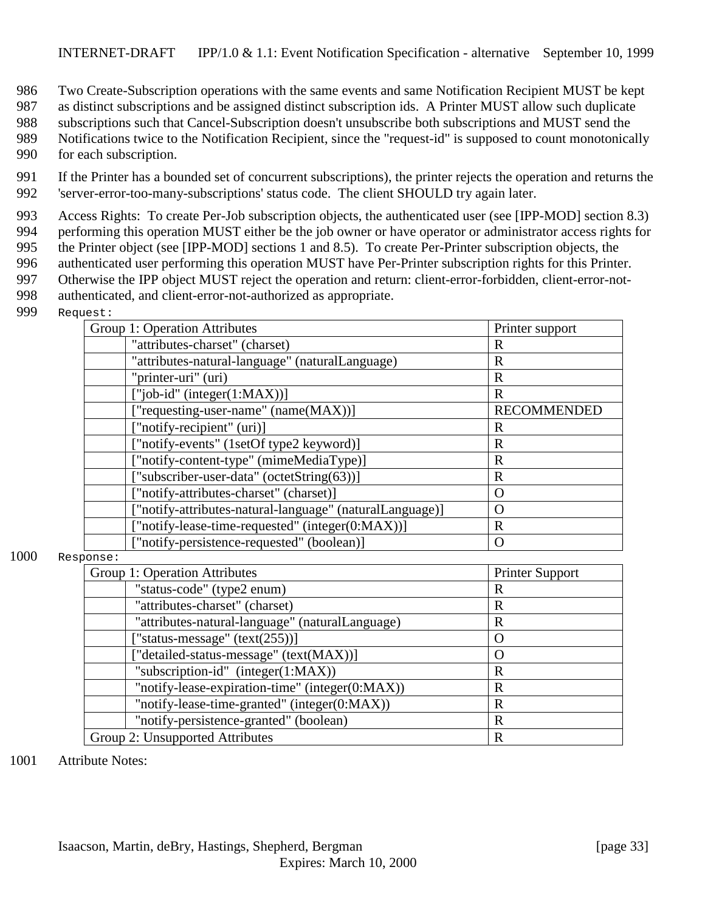986 Two Create-Subscription operations with the same events and same Notification Recipient MUST be kept

987 as distinct subscriptions and be assigned distinct subscription ids. A Printer MUST allow such duplicate

988 subscriptions such that Cancel-Subscription doesn't unsubscribe both subscriptions and MUST send the

989 Notifications twice to the Notification Recipient, since the "request-id" is supposed to count monotonically 990 for each subscription.

991 If the Printer has a bounded set of concurrent subscriptions), the printer rejects the operation and returns the 992 'server-error-too-many-subscriptions' status code. The client SHOULD try again later.

 Access Rights: To create Per-Job subscription objects, the authenticated user (see [IPP-MOD] section 8.3) performing this operation MUST either be the job owner or have operator or administrator access rights for the Printer object (see [IPP-MOD] sections 1 and 8.5). To create Per-Printer subscription objects, the authenticated user performing this operation MUST have Per-Printer subscription rights for this Printer. Otherwise the IPP object MUST reject the operation and return: client-error-forbidden, client-error-not-authenticated, and client-error-not-authorized as appropriate.

999 Request:

|      | Group 1: Operation Attributes                            | Printer support        |
|------|----------------------------------------------------------|------------------------|
|      | "attributes-charset" (charset)                           | $\mathbf R$            |
|      | "attributes-natural-language" (naturalLanguage)          | $\mathbf R$            |
|      | "printer-uri" (uri)                                      | $\mathbf R$            |
|      | ["job-id" (integer(1:MAX))]                              | $\mathbf{R}$           |
|      | ["requesting-user-name" (name(MAX))]                     | <b>RECOMMENDED</b>     |
|      | ["notify-recipient" (uri)]                               | $\mathbf R$            |
|      | ["notify-events" (1setOf type2 keyword)]                 | $\mathbf R$            |
|      | ["notify-content-type" (mimeMediaType)]                  | $\mathbf R$            |
|      | ["subscriber-user-data" (octetString(63))]               | $\mathbf R$            |
|      | ["notify-attributes-charset" (charset)]                  | $\overline{O}$         |
|      | ["notify-attributes-natural-language" (naturalLanguage)] | $\Omega$               |
|      | ["notify-lease-time-requested" (integer(0:MAX))]         | $\mathbf R$            |
|      | ["notify-persistence-requested" (boolean)]               | $\Omega$               |
| 1000 | Response:                                                |                        |
|      | Group 1: Operation Attributes                            | <b>Printer Support</b> |
|      | "status-code" (type2 enum)                               | $\mathbf R$            |
|      | "attributes-charset" (charset)                           | $\mathbf R$            |
|      | "attributes-natural-language" (naturalLanguage)          | R                      |
|      | "status-message" (text(255))]                            | $\Omega$               |
|      | "detailed-status-message" (text(MAX))]                   | $\Omega$               |
|      | "subscription-id" (integer $(1:MAX)$ )                   | $\mathbf R$            |
|      | "notify-lease-expiration-time" (integer(0:MAX))          | $\mathbf R$            |
|      | "notify-lease-time-granted" (integer(0:MAX))             | $\mathbf R$            |
|      | "notify-persistence-granted" (boolean)                   | $\mathbf R$            |

1001 Attribute Notes:

Group 2: Unsupported Attributes R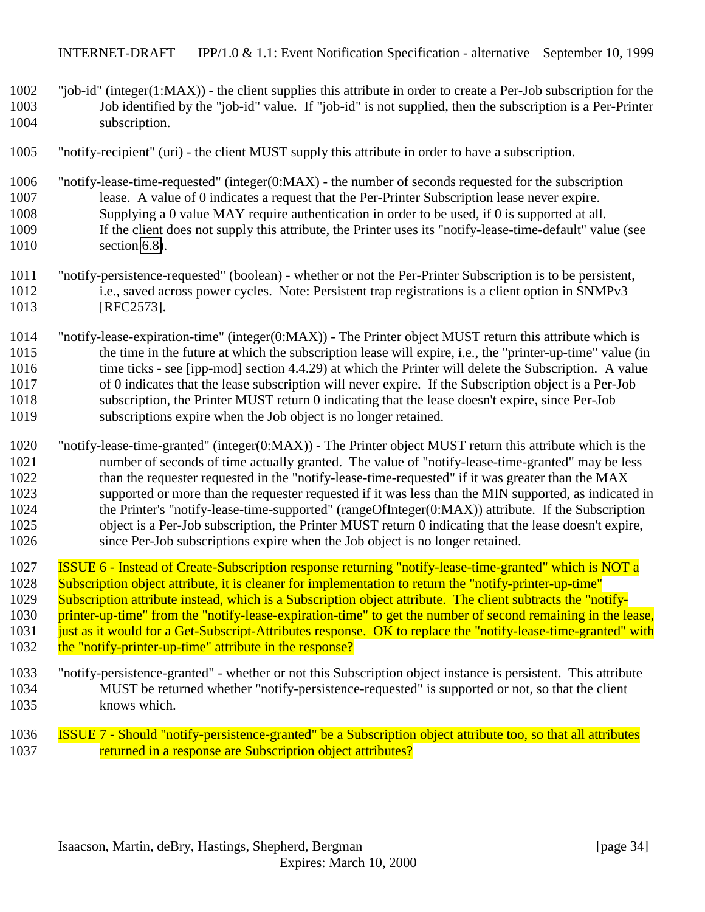- "job-id" (integer(1:MAX)) the client supplies this attribute in order to create a Per-Job subscription for the Job identified by the "job-id" value. If "job-id" is not supplied, then the subscription is a Per-Printer subscription.
- "notify-recipient" (uri) the client MUST supply this attribute in order to have a subscription.
- 1006 "notify-lease-time-requested" (integer(0:MAX) the number of seconds requested for the subscription<br>1007 lease. A value of 0 indicates a request that the Per-Printer Subscription lease never expire. lease. A value of 0 indicates a request that the Per-Printer Subscription lease never expire. Supplying a 0 value MAY require authentication in order to be used, if 0 is supported at all. If the client does not supply this attribute, the Printer uses its "notify-lease-time-default" value (see 1010 section [6.8\)](#page-25-0).
- "notify-persistence-requested" (boolean) whether or not the Per-Printer Subscription is to be persistent, i.e., saved across power cycles. Note: Persistent trap registrations is a client option in SNMPv3 [RFC2573].
- "notify-lease-expiration-time" (integer(0:MAX)) The Printer object MUST return this attribute which is 1015 the time in the future at which the subscription lease will expire, i.e., the "printer-up-time" value (in 1016 time ticks - see [ipp-mod] section 4.4.29) at which the Printer will delete the Subscription. A value of 0 indicates that the lease subscription will never expire. If the Subscription object is a Per-Job subscription, the Printer MUST return 0 indicating that the lease doesn't expire, since Per-Job subscriptions expire when the Job object is no longer retained.
- "notify-lease-time-granted" (integer(0:MAX)) The Printer object MUST return this attribute which is the number of seconds of time actually granted. The value of "notify-lease-time-granted" may be less 1022 than the requester requested in the "notify-lease-time-requested" if it was greater than the MAX supported or more than the requester requested if it was less than the MIN supported, as indicated in the Printer's "notify-lease-time-supported" (rangeOfInteger(0:MAX)) attribute. If the Subscription object is a Per-Job subscription, the Printer MUST return 0 indicating that the lease doesn't expire, since Per-Job subscriptions expire when the Job object is no longer retained.
- ISSUE 6 Instead of Create-Subscription response returning "notify-lease-time-granted" which is NOT a Subscription object attribute, it is cleaner for implementation to return the "notify-printer-up-time" Subscription attribute instead, which is a Subscription object attribute. The client subtracts the "notify-1030 printer-up-time" from the "notify-lease-expiration-time" to get the number of second remaining in the lease, 1031 just as it would for a Get-Subscript-Attributes response. OK to replace the "notify-lease-time-granted" with 1032 the "notify-printer-up-time" attribute in the response?
- "notify-persistence-granted" whether or not this Subscription object instance is persistent. This attribute MUST be returned whether "notify-persistence-requested" is supported or not, so that the client knows which.
- ISSUE 7 Should "notify-persistence-granted" be a Subscription object attribute too, so that all attributes 1037 returned in a response are Subscription object attributes?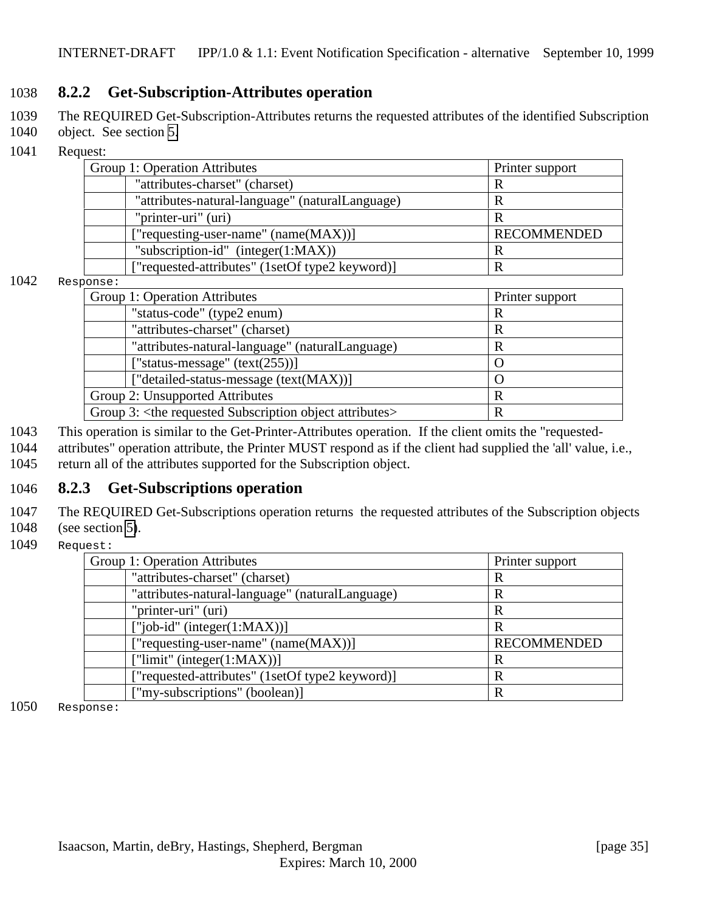### <span id="page-34-0"></span>1038 **8.2.2 Get-Subscription-Attributes operation**

- 1039 The REQUIRED Get-Subscription-Attributes returns the requested attributes of the identified Subscription
- 1040 object. See section [5.](#page-16-0)
- 1041 Request:

| Group 1: Operation Attributes                   | Printer support    |
|-------------------------------------------------|--------------------|
| "attributes-charset" (charset)                  |                    |
| "attributes-natural-language" (naturalLanguage) | R                  |
| "printer-uri" (uri)                             | R                  |
| ["requesting-user-name" (name(MAX))]            | <b>RECOMMENDED</b> |
| "subscription-id" $(integer(1:MAX))$            | R                  |
| ["requested-attributes" (1setOf type2 keyword)] | R                  |

#### 1042 Response:

| 'UIIDE •                                                                  |                 |
|---------------------------------------------------------------------------|-----------------|
| Group 1: Operation Attributes                                             | Printer support |
| "status-code" (type2 enum)                                                | R               |
| "attributes-charset" (charset)                                            | R               |
| "attributes-natural-language" (naturalLanguage)                           | R               |
| ["status-message" (text(255))]                                            |                 |
| ["detailed-status-message (text(MAX))]                                    |                 |
| Group 2: Unsupported Attributes<br>R                                      |                 |
| Group 3: <the attributes="" object="" requested="" subscription=""></the> |                 |

- 1043 This operation is similar to the Get-Printer-Attributes operation. If the client omits the "requested-
- 1044 attributes" operation attribute, the Printer MUST respond as if the client had supplied the 'all' value, i.e., 1045 return all of the attributes supported for the Subscription object.

### 1046 **8.2.3 Get-Subscriptions operation**

- 1047 The REQUIRED Get-Subscriptions operation returns the requested attributes of the Subscription objects
- 1048 (see section [5\)](#page-16-0).
- 1049 Request:

| Group 1: Operation Attributes                   | Printer support    |
|-------------------------------------------------|--------------------|
| "attributes-charset" (charset)                  | R                  |
| "attributes-natural-language" (naturalLanguage) | R                  |
| "printer-uri" (uri)                             | $\mathbb{R}$       |
| $['job-id' (integer(1:MAX))]$                   | R                  |
| ["requesting-user-name" $(name(MAX))$ ]         | <b>RECOMMENDED</b> |
| ["limit" (integer $(1:MAX)$ )]                  | R                  |
| ["requested-attributes" (1setOf type2 keyword)] | R                  |
| ["my-subscriptions" (boolean)]                  | R                  |

1050 Response: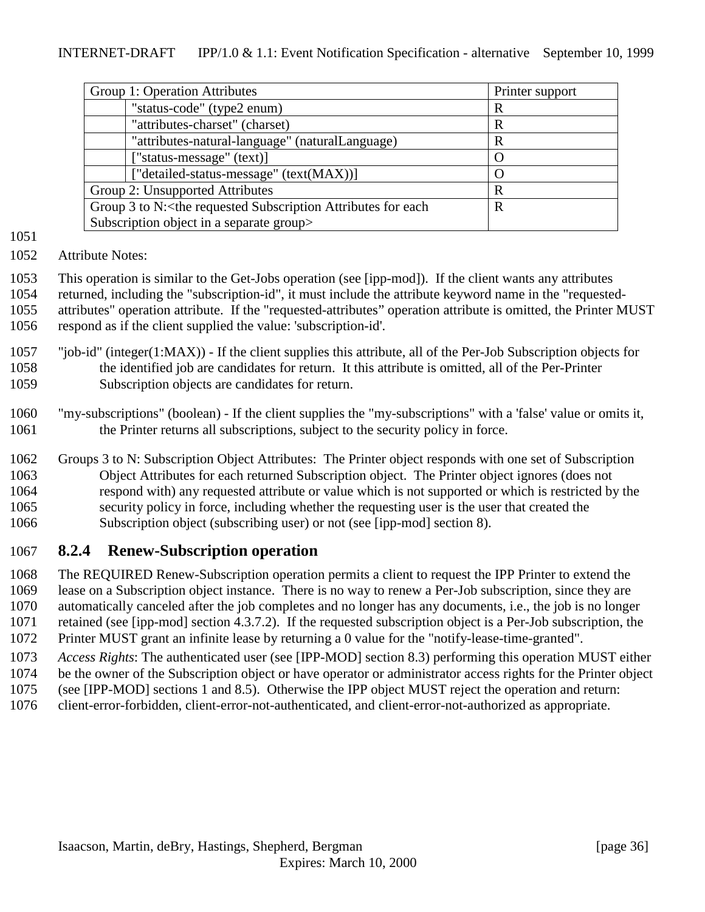<span id="page-35-0"></span>

| Printer support  |
|------------------|
| R                |
| R                |
| R                |
| O                |
| $\left( \right)$ |
| R                |
| R                |
|                  |
|                  |

- 
- Attribute Notes:

 This operation is similar to the Get-Jobs operation (see [ipp-mod]). If the client wants any attributes returned, including the "subscription-id", it must include the attribute keyword name in the "requested- attributes" operation attribute. If the "requested-attributes" operation attribute is omitted, the Printer MUST respond as if the client supplied the value: 'subscription-id'.

- "job-id" (integer(1:MAX)) If the client supplies this attribute, all of the Per-Job Subscription objects for the identified job are candidates for return. It this attribute is omitted, all of the Per-Printer Subscription objects are candidates for return.
- "my-subscriptions" (boolean) If the client supplies the "my-subscriptions" with a 'false' value or omits it, the Printer returns all subscriptions, subject to the security policy in force.
- Groups 3 to N: Subscription Object Attributes: The Printer object responds with one set of Subscription Object Attributes for each returned Subscription object. The Printer object ignores (does not respond with) any requested attribute or value which is not supported or which is restricted by the security policy in force, including whether the requesting user is the user that created the Subscription object (subscribing user) or not (see [ipp-mod] section 8).

### **8.2.4 Renew-Subscription operation**

 The REQUIRED Renew-Subscription operation permits a client to request the IPP Printer to extend the lease on a Subscription object instance. There is no way to renew a Per-Job subscription, since they are automatically canceled after the job completes and no longer has any documents, i.e., the job is no longer retained (see [ipp-mod] section 4.3.7.2). If the requested subscription object is a Per-Job subscription, the Printer MUST grant an infinite lease by returning a 0 value for the "notify-lease-time-granted".

- *Access Rights*: The authenticated user (see [IPP-MOD] section 8.3) performing this operation MUST either be the owner of the Subscription object or have operator or administrator access rights for the Printer object
- (see [IPP-MOD] sections 1 and 8.5). Otherwise the IPP object MUST reject the operation and return:
- client-error-forbidden, client-error-not-authenticated, and client-error-not-authorized as appropriate.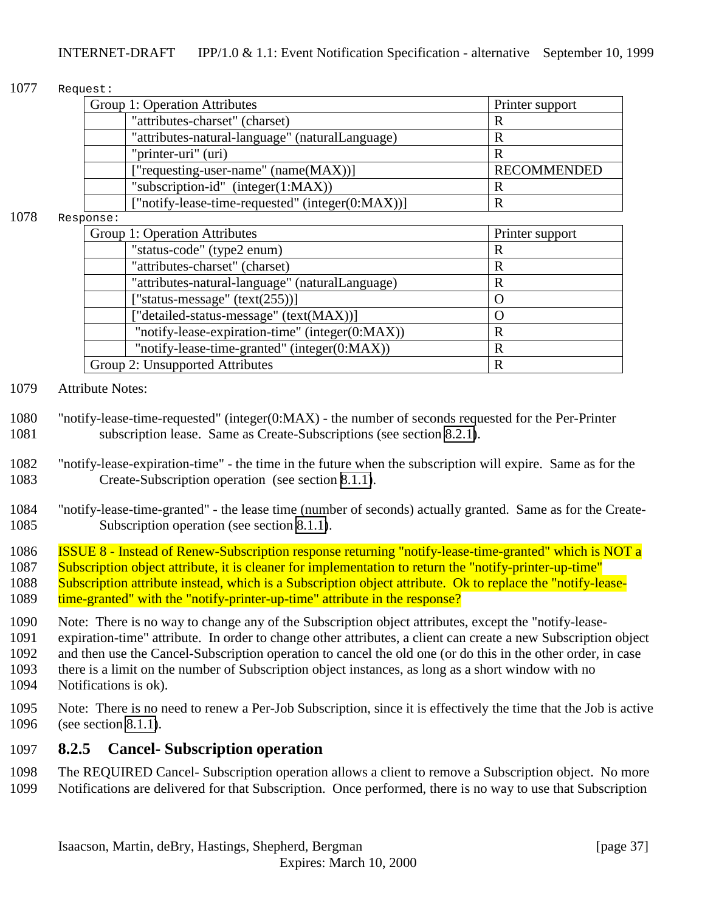#### <span id="page-36-0"></span>1077 Request:

| Group 1: Operation Attributes                    | Printer support    |
|--------------------------------------------------|--------------------|
| "attributes-charset" (charset)                   |                    |
| "attributes-natural-language" (naturalLanguage)  | R                  |
| "printer-uri" (uri)                              | R                  |
| ["requesting-user-name" (name(MAX))]             | <b>RECOMMENDED</b> |
| "subscription-id" (integer $(1:MAX)$ )           | R                  |
| ["notify-lease-time-requested" (integer(0:MAX))] | R                  |

#### 1078 Response:

| Group 1: Operation Attributes    |                                                 | Printer support |  |
|----------------------------------|-------------------------------------------------|-----------------|--|
| "status-code" (type2 enum)       |                                                 | R               |  |
| "attributes-charset" (charset)   |                                                 | R               |  |
|                                  | "attributes-natural-language" (naturalLanguage) | R               |  |
| ["status-message" $(text(255))]$ |                                                 |                 |  |
|                                  | ["detailed-status-message" (text(MAX))]         |                 |  |
|                                  | "notify-lease-expiration-time" (integer(0:MAX)) | R               |  |
|                                  | "notify-lease-time-granted" (integer(0:MAX))    | R               |  |
| Group 2: Unsupported Attributes  |                                                 | R               |  |

#### 1079 Attribute Notes:

- 1080 "notify-lease-time-requested" (integer(0:MAX) the number of seconds requested for the Per-Printer 1081 subscription lease. Same as Create-Subscriptions (see section [8.2.1\)](#page-31-0).
- 1082 "notify-lease-expiration-time" the time in the future when the subscription will expire. Same as for the 1083 Create-Subscription operation (see section [8.1.1\)](#page-30-0).
- 1084 "notify-lease-time-granted" the lease time (number of seconds) actually granted. Same as for the Create-1085 Subscription operation (see section [8.1.1\)](#page-30-0).
- 1086 ISSUE 8 Instead of Renew-Subscription response returning "notify-lease-time-granted" which is NOT a
- 1087 Subscription object attribute, it is cleaner for implementation to return the "notify-printer-up-time"
- 1088 Subscription attribute instead, which is a Subscription object attribute. Ok to replace the "notify-lease-1089 time-granted" with the "notify-printer-up-time" attribute in the response?
- 1090 Note: There is no way to change any of the Subscription object attributes, except the "notify-lease-
- 1091 expiration-time" attribute. In order to change other attributes, a client can create a new Subscription object
- 1092 and then use the Cancel-Subscription operation to cancel the old one (or do this in the other order, in case
- 1093 there is a limit on the number of Subscription object instances, as long as a short window with no 1094 Notifications is ok).
- 1095 Note: There is no need to renew a Per-Job Subscription, since it is effectively the time that the Job is active 1096 (see section [8.1.1\)](#page-30-0).

### 1097 **8.2.5 Cancel- Subscription operation**

- 1098 The REQUIRED Cancel- Subscription operation allows a client to remove a Subscription object. No more
- 1099 Notifications are delivered for that Subscription. Once performed, there is no way to use that Subscription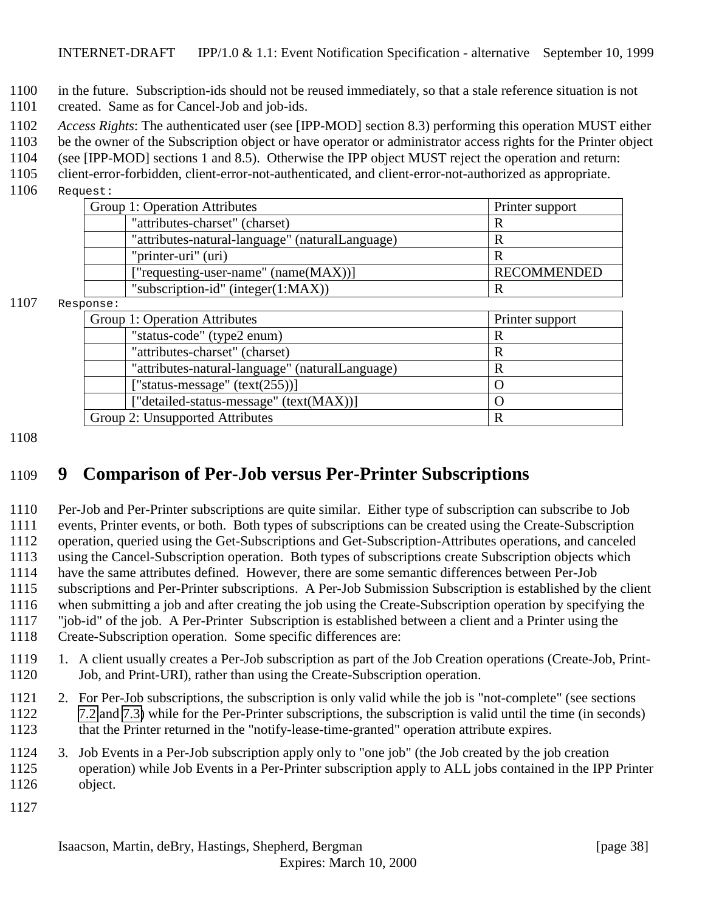<span id="page-37-0"></span>in the future. Subscription-ids should not be reused immediately, so that a stale reference situation is not

- created. Same as for Cancel-Job and job-ids.
- *Access Rights*: The authenticated user (see [IPP-MOD] section 8.3) performing this operation MUST either
- be the owner of the Subscription object or have operator or administrator access rights for the Printer object
- (see [IPP-MOD] sections 1 and 8.5). Otherwise the IPP object MUST reject the operation and return:
- client-error-forbidden, client-error-not-authenticated, and client-error-not-authorized as appropriate.
- Request:

| Group 1: Operation Attributes                   | Printer support    |
|-------------------------------------------------|--------------------|
| "attributes-charset" (charset)                  |                    |
| "attributes-natural-language" (naturalLanguage) |                    |
| "printer-uri" (uri)                             |                    |
| ["requesting-user-name" (name(MAX))]            | <b>RECOMMENDED</b> |
| "subscription-id" (integer $(1:MAX)$ )          |                    |

#### Response:

| Printer support |
|-----------------|
| R               |
| R               |
| R               |
|                 |
|                 |
| R               |
|                 |

# **9 Comparison of Per-Job versus Per-Printer Subscriptions**

 Per-Job and Per-Printer subscriptions are quite similar. Either type of subscription can subscribe to Job events, Printer events, or both. Both types of subscriptions can be created using the Create-Subscription operation, queried using the Get-Subscriptions and Get-Subscription-Attributes operations, and canceled using the Cancel-Subscription operation. Both types of subscriptions create Subscription objects which have the same attributes defined. However, there are some semantic differences between Per-Job subscriptions and Per-Printer subscriptions. A Per-Job Submission Subscription is established by the client when submitting a job and after creating the job using the Create-Subscription operation by specifying the "job-id" of the job. A Per-Printer Subscription is established between a client and a Printer using the

- Create-Subscription operation. Some specific differences are:
- 1119 1. A client usually creates a Per-Job subscription as part of the Job Creation operations (Create-Job, Print-Job, and Print-URI), rather than using the Create-Subscription operation.
- 2. For Per-Job subscriptions, the subscription is only valid while the job is "not-complete" (see sections [7.2](#page-27-0) and [7.3\)](#page-29-0) while for the Per-Printer subscriptions, the subscription is valid until the time (in seconds) that the Printer returned in the "notify-lease-time-granted" operation attribute expires.
- 3. Job Events in a Per-Job subscription apply only to "one job" (the Job created by the job creation operation) while Job Events in a Per-Printer subscription apply to ALL jobs contained in the IPP Printer object.
-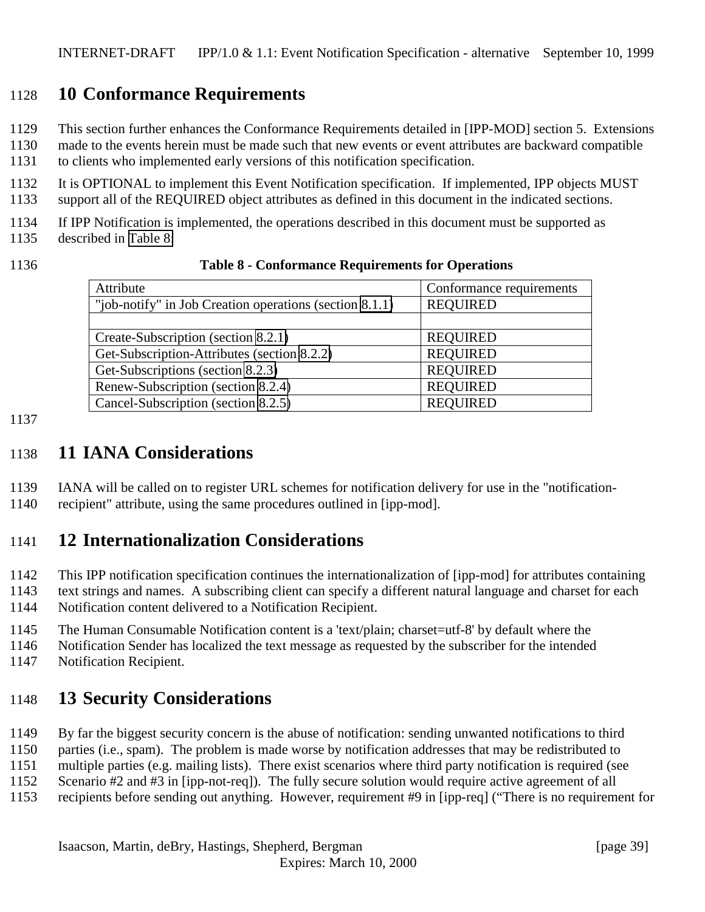# <span id="page-38-0"></span>**10 Conformance Requirements**

This section further enhances the Conformance Requirements detailed in [IPP-MOD] section 5. Extensions

 made to the events herein must be made such that new events or event attributes are backward compatible to clients who implemented early versions of this notification specification.

 It is OPTIONAL to implement this Event Notification specification. If implemented, IPP objects MUST support all of the REQUIRED object attributes as defined in this document in the indicated sections.

If IPP Notification is implemented, the operations described in this document must be supported as

described in Table 8:

|  | ۰.<br>۰,<br>٠ |  |
|--|---------------|--|
|--|---------------|--|

| 1136 | <b>Table 8 - Conformance Requirements for Operations</b> |  |
|------|----------------------------------------------------------|--|
|------|----------------------------------------------------------|--|

| Attribute                                               | Conformance requirements |
|---------------------------------------------------------|--------------------------|
| "job-notify" in Job Creation operations (section 8.1.1) | <b>REQUIRED</b>          |
|                                                         |                          |
| Create-Subscription (section 8.2.1)                     | <b>REQUIRED</b>          |
| Get-Subscription-Attributes (section 8.2.2)             | <b>REQUIRED</b>          |
| Get-Subscriptions (section 8.2.3)                       | <b>REQUIRED</b>          |
| Renew-Subscription (section 8.2.4)                      | <b>REQUIRED</b>          |
| Cancel-Subscription (section 8.2.5)                     | <b>REQUIRED</b>          |

#### 

## **11 IANA Considerations**

IANA will be called on to register URL schemes for notification delivery for use in the "notification-

recipient" attribute, using the same procedures outlined in [ipp-mod].

# **12 Internationalization Considerations**

 This IPP notification specification continues the internationalization of [ipp-mod] for attributes containing text strings and names. A subscribing client can specify a different natural language and charset for each

Notification content delivered to a Notification Recipient.

The Human Consumable Notification content is a 'text/plain; charset=utf-8' by default where the

Notification Sender has localized the text message as requested by the subscriber for the intended

Notification Recipient.

# **13 Security Considerations**

By far the biggest security concern is the abuse of notification: sending unwanted notifications to third

parties (i.e., spam). The problem is made worse by notification addresses that may be redistributed to

multiple parties (e.g. mailing lists). There exist scenarios where third party notification is required (see

Scenario #2 and #3 in [ipp-not-req]). The fully secure solution would require active agreement of all

recipients before sending out anything. However, requirement #9 in [ipp-req] ("There is no requirement for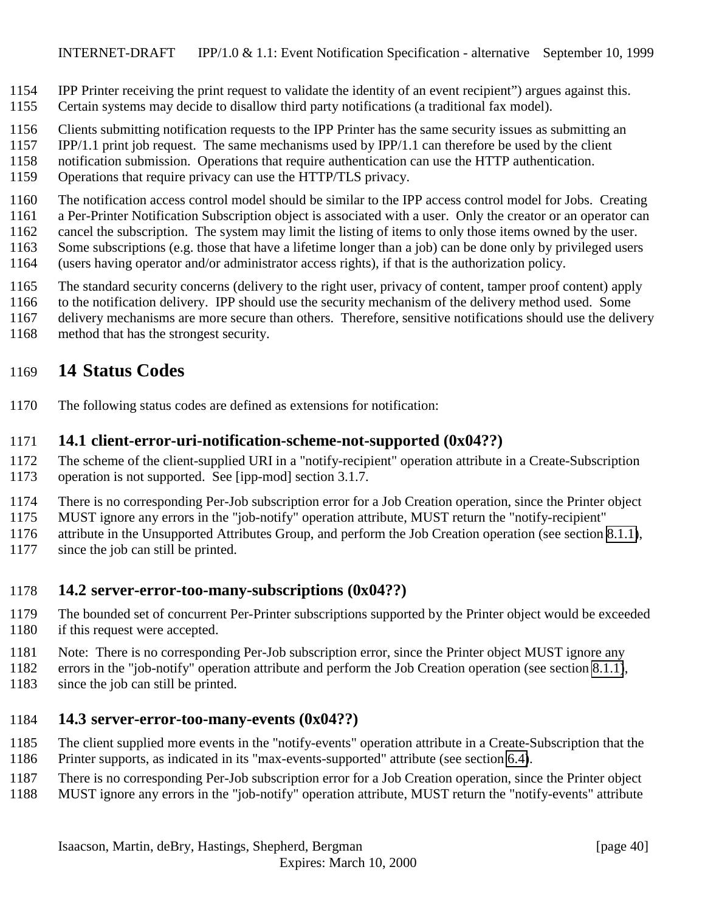- <span id="page-39-0"></span>IPP Printer receiving the print request to validate the identity of an event recipient") argues against this.
- Certain systems may decide to disallow third party notifications (a traditional fax model).
- Clients submitting notification requests to the IPP Printer has the same security issues as submitting an
- IPP/1.1 print job request. The same mechanisms used by IPP/1.1 can therefore be used by the client
- notification submission. Operations that require authentication can use the HTTP authentication.
- Operations that require privacy can use the HTTP/TLS privacy.
- The notification access control model should be similar to the IPP access control model for Jobs. Creating
- a Per-Printer Notification Subscription object is associated with a user. Only the creator or an operator can
- cancel the subscription. The system may limit the listing of items to only those items owned by the user.
- Some subscriptions (e.g. those that have a lifetime longer than a job) can be done only by privileged users
- (users having operator and/or administrator access rights), if that is the authorization policy.
- The standard security concerns (delivery to the right user, privacy of content, tamper proof content) apply
- to the notification delivery. IPP should use the security mechanism of the delivery method used. Some
- delivery mechanisms are more secure than others. Therefore, sensitive notifications should use the delivery
- method that has the strongest security.

# **14 Status Codes**

The following status codes are defined as extensions for notification:

### **14.1 client-error-uri-notification-scheme-not-supported (0x04??)**

- The scheme of the client-supplied URI in a "notify-recipient" operation attribute in a Create-Subscription operation is not supported. See [ipp-mod] section 3.1.7.
- There is no corresponding Per-Job subscription error for a Job Creation operation, since the Printer object
- MUST ignore any errors in the "job-notify" operation attribute, MUST return the "notify-recipient"
- attribute in the Unsupported Attributes Group, and perform the Job Creation operation (see section [8.1.1\)](#page-30-0),
- 1177 since the job can still be printed.

### **14.2 server-error-too-many-subscriptions (0x04??)**

- The bounded set of concurrent Per-Printer subscriptions supported by the Printer object would be exceeded 1180 if this request were accepted.
- Note: There is no corresponding Per-Job subscription error, since the Printer object MUST ignore any
- errors in the "job-notify" operation attribute and perform the Job Creation operation (see section [8.1.1\)](#page-30-0), 1183 since the job can still be printed.

### **14.3 server-error-too-many-events (0x04??)**

- The client supplied more events in the "notify-events" operation attribute in a Create-Subscription that the
- Printer supports, as indicated in its "max-events-supported" attribute (see section [6.4\)](#page-25-0).
- There is no corresponding Per-Job subscription error for a Job Creation operation, since the Printer object
- MUST ignore any errors in the "job-notify" operation attribute, MUST return the "notify-events" attribute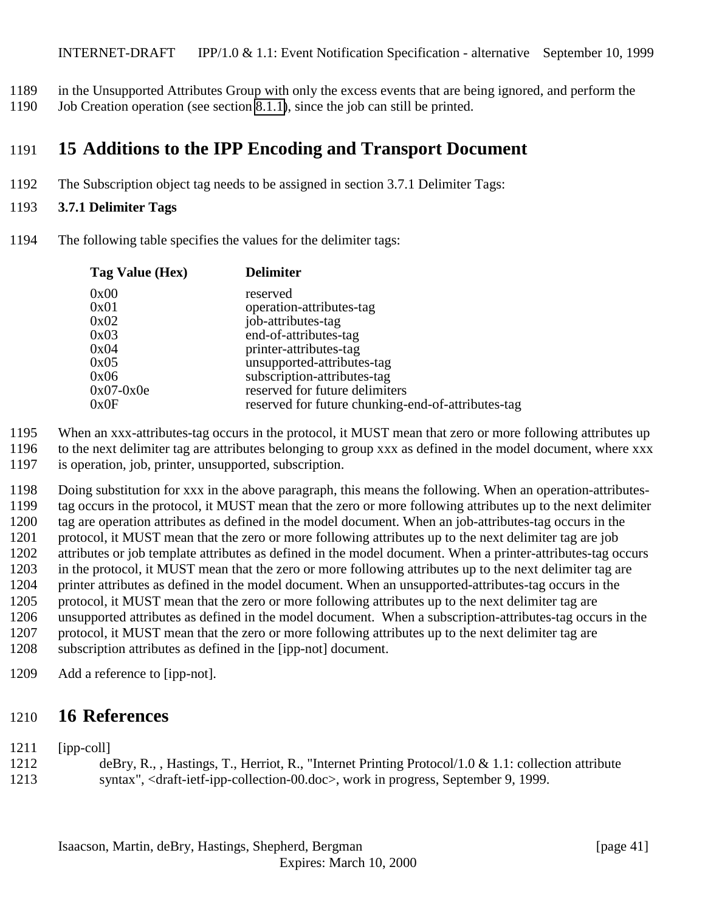- <span id="page-40-0"></span>in the Unsupported Attributes Group with only the excess events that are being ignored, and perform the
- Job Creation operation (see section [8.1.1\)](#page-30-0), since the job can still be printed.

# **15 Additions to the IPP Encoding and Transport Document**

The Subscription object tag needs to be assigned in section 3.7.1 Delimiter Tags:

#### **3.7.1 Delimiter Tags**

The following table specifies the values for the delimiter tags:

| Tag Value (Hex) | <b>Delimiter</b>                                   |
|-----------------|----------------------------------------------------|
| 0x00            | reserved                                           |
| 0x01            | operation-attributes-tag                           |
| 0x02            | job-attributes-tag                                 |
| 0x03            | end-of-attributes-tag                              |
| 0x04            | printer-attributes-tag                             |
| 0x05            | unsupported-attributes-tag                         |
| 0x06            | subscription-attributes-tag                        |
| $0x07-0x0e$     | reserved for future delimiters                     |
| 0x0F            | reserved for future chunking-end-of-attributes-tag |

When an xxx-attributes-tag occurs in the protocol, it MUST mean that zero or more following attributes up

- to the next delimiter tag are attributes belonging to group xxx as defined in the model document, where xxx is operation, job, printer, unsupported, subscription.
- Doing substitution for xxx in the above paragraph, this means the following. When an operation-attributes- tag occurs in the protocol, it MUST mean that the zero or more following attributes up to the next delimiter tag are operation attributes as defined in the model document. When an job-attributes-tag occurs in the protocol, it MUST mean that the zero or more following attributes up to the next delimiter tag are job attributes or job template attributes as defined in the model document. When a printer-attributes-tag occurs in the protocol, it MUST mean that the zero or more following attributes up to the next delimiter tag are printer attributes as defined in the model document. When an unsupported-attributes-tag occurs in the protocol, it MUST mean that the zero or more following attributes up to the next delimiter tag are unsupported attributes as defined in the model document. When a subscription-attributes-tag occurs in the protocol, it MUST mean that the zero or more following attributes up to the next delimiter tag are subscription attributes as defined in the [ipp-not] document.
- Add a reference to [ipp-not].

### **16 References**

- [ipp-coll]
- deBry, R., , Hastings, T., Herriot, R., "Internet Printing Protocol/1.0 & 1.1: collection attribute syntax", <draft-ietf-ipp-collection-00.doc>, work in progress, September 9, 1999.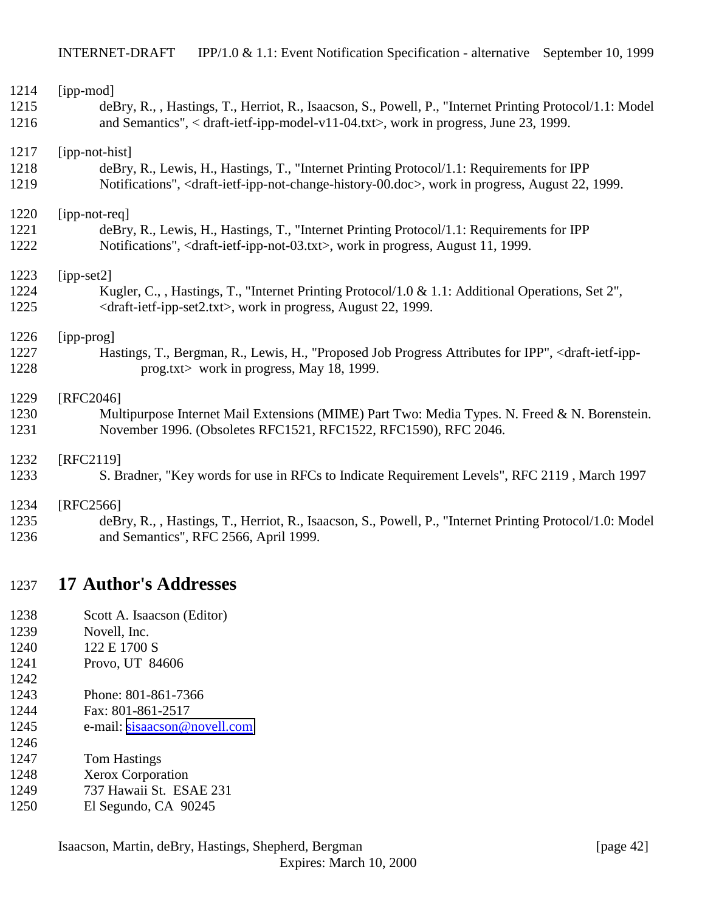<span id="page-41-0"></span>

| 1214 | [ipp-mod]                                                                                                                                 |
|------|-------------------------------------------------------------------------------------------------------------------------------------------|
| 1215 | deBry, R., , Hastings, T., Herriot, R., Isaacson, S., Powell, P., "Internet Printing Protocol/1.1: Model                                  |
| 1216 | and Semantics", < draft-ietf-ipp-model-v11-04.txt>, work in progress, June 23, 1999.                                                      |
| 1217 | [ipp-not-hist]                                                                                                                            |
| 1218 | deBry, R., Lewis, H., Hastings, T., "Internet Printing Protocol/1.1: Requirements for IPP                                                 |
| 1219 | Notifications", <draft-ietf-ipp-not-change-history-00.doc>, work in progress, August 22, 1999.</draft-ietf-ipp-not-change-history-00.doc> |
| 1220 | [ipp-not-req]                                                                                                                             |
| 1221 | deBry, R., Lewis, H., Hastings, T., "Internet Printing Protocol/1.1: Requirements for IPP                                                 |
| 1222 | Notifications", <draft-ietf-ipp-not-03.txt>, work in progress, August 11, 1999.</draft-ietf-ipp-not-03.txt>                               |
| 1223 | $[ipp-set2]$                                                                                                                              |
| 1224 | Kugler, C., , Hastings, T., "Internet Printing Protocol/1.0 & 1.1: Additional Operations, Set 2",                                         |
| 1225 | <draft-ietf-ipp-set2.txt>, work in progress, August 22, 1999.</draft-ietf-ipp-set2.txt>                                                   |
| 1226 | [ipp-prog]                                                                                                                                |
| 1227 | Hastings, T., Bergman, R., Lewis, H., "Proposed Job Progress Attributes for IPP", <draft-ietf-ipp-< td=""></draft-ietf-ipp-<>             |
| 1228 | prog.txt> work in progress, May 18, 1999.                                                                                                 |
| 1229 | $[RFC2046]$                                                                                                                               |
| 1230 | Multipurpose Internet Mail Extensions (MIME) Part Two: Media Types. N. Freed & N. Borenstein.                                             |
| 1231 | November 1996. (Obsoletes RFC1521, RFC1522, RFC1590), RFC 2046.                                                                           |
| 1232 | [RFC2119]                                                                                                                                 |
| 1233 | S. Bradner, "Key words for use in RFCs to Indicate Requirement Levels", RFC 2119, March 1997                                              |
| 1234 | [RFC2566]                                                                                                                                 |
| 1235 | deBry, R., , Hastings, T., Herriot, R., Isaacson, S., Powell, P., "Internet Printing Protocol/1.0: Model                                  |
| 1236 | and Semantics", RFC 2566, April 1999.                                                                                                     |

## **17 Author's Addresses**

- Scott A. Isaacson (Editor)
- Novell, Inc.
- 1240 122 E 1700 S
- Provo, UT 84606
- Phone: 801-861-7366
- Fax: 801-861-2517
- 1245 e-mail: [sisaacson@novell.com](mailto:sisaacson@novell.com)
- Tom Hastings

- Xerox Corporation
- 737 Hawaii St. ESAE 231
- El Segundo, CA 90245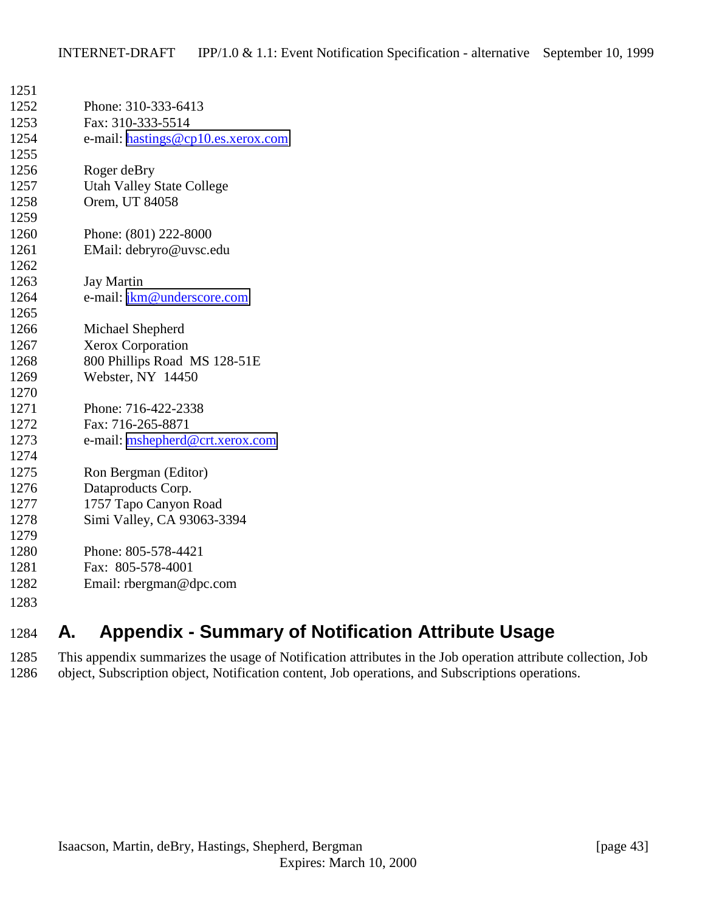<span id="page-42-0"></span>

| 1251 |                                    |
|------|------------------------------------|
| 1252 | Phone: 310-333-6413                |
| 1253 | Fax: 310-333-5514                  |
| 1254 | e-mail: hastings@cp10.es.xerox.com |
| 1255 |                                    |
| 1256 | Roger deBry                        |
| 1257 | <b>Utah Valley State College</b>   |
| 1258 | Orem, UT 84058                     |
| 1259 |                                    |
| 1260 | Phone: (801) 222-8000              |
| 1261 | EMail: debryro@uvsc.edu            |
| 1262 |                                    |
| 1263 | <b>Jay Martin</b>                  |
| 1264 | e-mail: jkm@underscore.com         |
| 1265 |                                    |
| 1266 | Michael Shepherd                   |
| 1267 | Xerox Corporation                  |
| 1268 | 800 Phillips Road MS 128-51E       |
| 1269 | Webster, NY 14450                  |
| 1270 |                                    |
| 1271 | Phone: 716-422-2338                |
| 1272 | Fax: 716-265-8871                  |
| 1273 | e-mail: mshepherd@crt.xerox.com    |
| 1274 |                                    |
| 1275 | Ron Bergman (Editor)               |
| 1276 | Dataproducts Corp.                 |
| 1277 | 1757 Tapo Canyon Road              |
| 1278 | Simi Valley, CA 93063-3394         |
| 1279 |                                    |
| 1280 | Phone: 805-578-4421                |
| 1281 | Fax: 805-578-4001                  |
| 1282 | Email: rbergman@dpc.com            |
| 1283 |                                    |
|      |                                    |

# **A. Appendix - Summary of Notification Attribute Usage**

 This appendix summarizes the usage of Notification attributes in the Job operation attribute collection, Job object, Subscription object, Notification content, Job operations, and Subscriptions operations.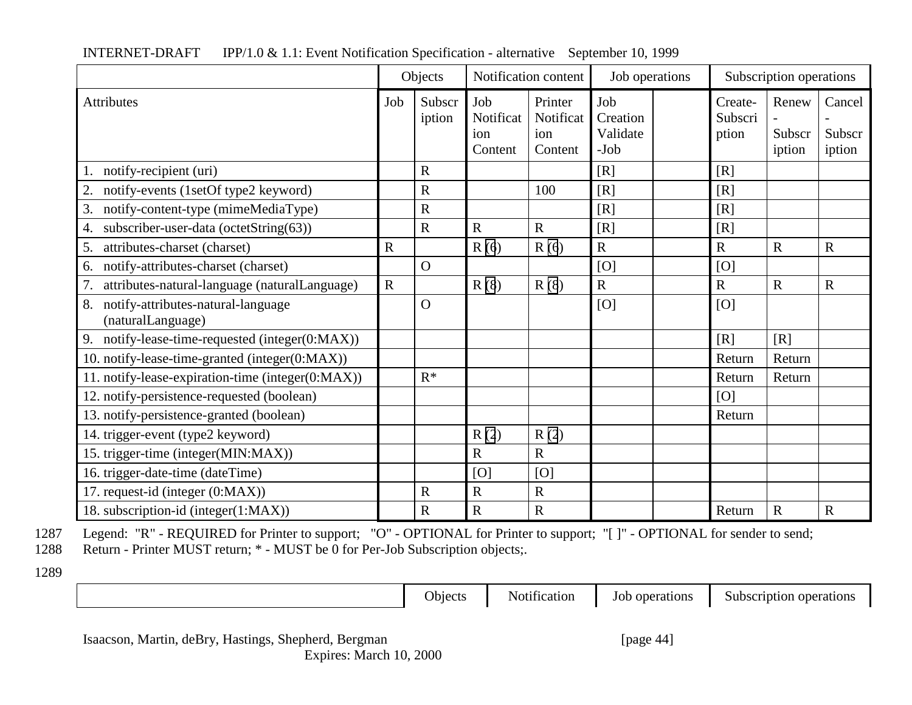|                                                               | Objects     |                  | Notification content               |                                        | Job operations                        | Subscription operations     |                           |                            |
|---------------------------------------------------------------|-------------|------------------|------------------------------------|----------------------------------------|---------------------------------------|-----------------------------|---------------------------|----------------------------|
| <b>Attributes</b>                                             | Job         | Subscr<br>iption | Job<br>Notificat<br>ion<br>Content | Printer<br>Notificat<br>ion<br>Content | Job<br>Creation<br>Validate<br>$-Job$ | Create-<br>Subscri<br>ption | Renew<br>Subscr<br>iption | Cancel<br>Subscr<br>iption |
| notify-recipient (uri)<br>1.                                  |             | $\mathbf R$      |                                    |                                        | [R]                                   | [R]                         |                           |                            |
| notify-events (1setOf type2 keyword)<br>2.                    |             | $\mathbf R$      |                                    | 100                                    | [R]                                   | [R]                         |                           |                            |
| notify-content-type (mimeMediaType)<br>3.                     |             | $\mathbf R$      |                                    |                                        | [R]                                   | [R]                         |                           |                            |
| subscriber-user-data (octetString(63))<br>4.                  |             | $\mathbf R$      | $\overline{R}$                     | $\mathbf R$                            | [R]                                   | [R]                         |                           |                            |
| attributes-charset (charset)<br>5.                            | $\mathbf R$ |                  | R(6)                               | R(6)                                   | $\overline{R}$                        | $\mathbf R$                 | $\overline{R}$            | $\mathbf R$                |
| notify-attributes-charset (charset)<br>6.                     |             | $\mathbf{O}$     |                                    |                                        | [O]                                   | [O]                         |                           |                            |
| attributes-natural-language (naturalLanguage)<br>7.           | $\mathbf R$ |                  | R(8)                               | R(8)                                   | $\mathbf R$                           | $\mathbf R$                 | $\mathbf R$               | $\mathbf R$                |
| notify-attributes-natural-language<br>8.<br>(naturalLanguage) |             | $\Omega$         |                                    |                                        | [O]                                   | [O]                         |                           |                            |
| 9.<br>notify-lease-time-requested (integer(0:MAX))            |             |                  |                                    |                                        |                                       | [R]                         | [R]                       |                            |
| 10. notify-lease-time-granted (integer(0:MAX))                |             |                  |                                    |                                        |                                       | Return                      | Return                    |                            |
| 11. notify-lease-expiration-time (integer(0:MAX))             |             | $R^*$            |                                    |                                        |                                       | Return                      | Return                    |                            |
| 12. notify-persistence-requested (boolean)                    |             |                  |                                    |                                        |                                       | [O]                         |                           |                            |
| 13. notify-persistence-granted (boolean)                      |             |                  |                                    |                                        |                                       | Return                      |                           |                            |
| 14. trigger-event (type2 keyword)                             |             |                  | R(2)                               | R(2)                                   |                                       |                             |                           |                            |
| 15. trigger-time (integer(MIN:MAX))                           |             |                  | $\mathbf R$                        | $\mathbf R$                            |                                       |                             |                           |                            |
| 16. trigger-date-time (dateTime)                              |             |                  | [O]                                | [O]                                    |                                       |                             |                           |                            |
| 17. request-id (integer (0:MAX))                              |             | $\mathbf R$      | $\mathbf R$                        | $\mathbf R$                            |                                       |                             |                           |                            |
| 18. subscription-id (integer(1:MAX))                          |             | $\mathbf R$      | $\mathbf R$                        | ${\bf R}$                              |                                       | Return                      | $\mathbf R$               | $\mathbf R$                |

1287 Legend: "R" - REQUIRED for Printer to support; "O" - OPTIONAL for Printer to support; "[ ]" - OPTIONAL for sender to send;

1288 Return - Printer MUST return; \* - MUST be 0 for Per-Job Subscription objects;.

1289

Objects Notification Job operations Subscription operations

Isaacson, Martin, deBry, Hastings, Shepherd, Bergman [page 44] Expires: March 10, 2000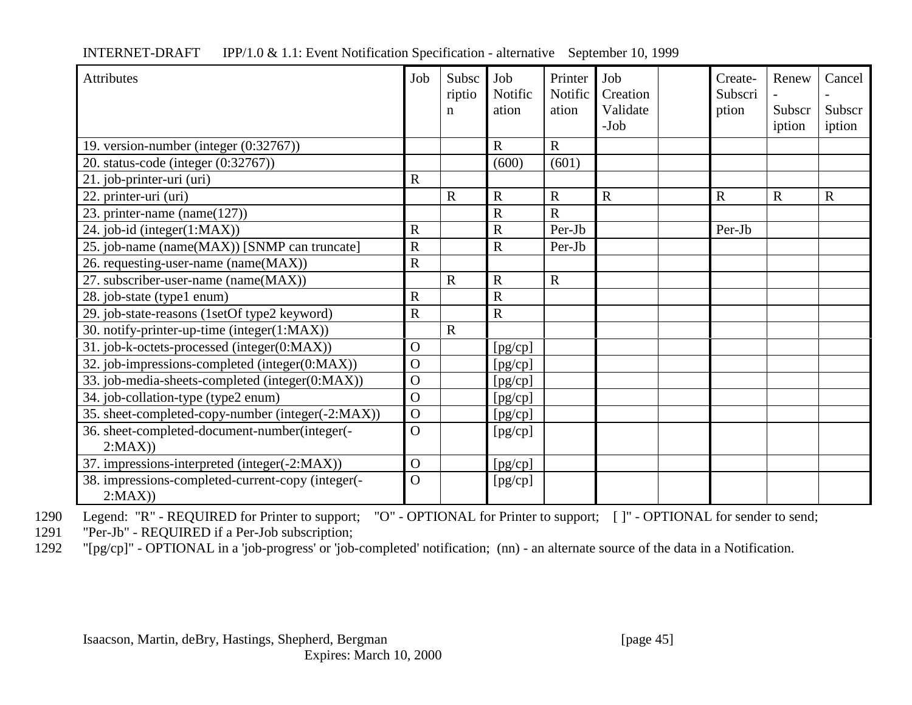| <b>Attributes</b>                                           | Job            | Subsc<br>riptio | Job<br>Notific | Printer<br>Notific | Job<br>Creation    | Create-<br>Subscri | Renew            | Cancel           |
|-------------------------------------------------------------|----------------|-----------------|----------------|--------------------|--------------------|--------------------|------------------|------------------|
|                                                             |                | n               | ation          | ation              | Validate<br>$-Job$ | ption              | Subscr<br>iption | Subscr<br>iption |
| 19. version-number (integer (0:32767))                      |                |                 | $\mathbf R$    | $\mathbf R$        |                    |                    |                  |                  |
| 20. status-code (integer (0:32767))                         |                |                 | (600)          | (601)              |                    |                    |                  |                  |
| 21. job-printer-uri (uri)                                   | $\mathbf R$    |                 |                |                    |                    |                    |                  |                  |
| 22. printer-uri (uri)                                       |                | R               | $\mathbf R$    | $\mathbf R$        | $\mathbf R$        | $\mathbf R$        | $\mathbf R$      | $\mathbf R$      |
| 23. printer-name (name $(127)$ )                            |                |                 | $\mathbf R$    | $\mathbf R$        |                    |                    |                  |                  |
| 24. job-id (integer(1:MAX))                                 | $\mathbf R$    |                 | $\mathbf R$    | Per-Jb             |                    | Per-Jb             |                  |                  |
| 25. job-name (name(MAX)) [SNMP can truncate]                | $\mathbf R$    |                 | $\mathbf R$    | Per-Jb             |                    |                    |                  |                  |
| 26. requesting-user-name (name(MAX))                        | $\mathbf R$    |                 |                |                    |                    |                    |                  |                  |
| 27. subscriber-user-name (name(MAX))                        |                | $\mathbf R$     | $\mathbf R$    | $\mathbf R$        |                    |                    |                  |                  |
| 28. job-state (type1 enum)                                  | $\mathbf R$    |                 | $\mathbf R$    |                    |                    |                    |                  |                  |
| 29. job-state-reasons (1setOf type2 keyword)                | $\overline{R}$ |                 | $\mathbf R$    |                    |                    |                    |                  |                  |
| 30. notify-printer-up-time (integer(1:MAX))                 |                | $\mathbf R$     |                |                    |                    |                    |                  |                  |
| 31. job-k-octets-processed (integer(0:MAX))                 | $\Omega$       |                 | [pg/cp]        |                    |                    |                    |                  |                  |
| 32. job-impressions-completed (integer(0:MAX))              | $\Omega$       |                 | [pg/cp]        |                    |                    |                    |                  |                  |
| 33. job-media-sheets-completed (integer(0:MAX))             |                |                 | [pg/cp]        |                    |                    |                    |                  |                  |
| 34. job-collation-type (type2 enum)                         |                |                 | [pg/cp]        |                    |                    |                    |                  |                  |
| 35. sheet-completed-copy-number (integer(-2:MAX))           | $\mathbf{O}$   |                 | [pg/cp]        |                    |                    |                    |                  |                  |
| 36. sheet-completed-document-number(integer(-<br>2:MAX)     | $\overline{O}$ |                 | [pg/cp]        |                    |                    |                    |                  |                  |
| 37. impressions-interpreted (integer(-2:MAX))               | $\mathbf{O}$   |                 | [pg/cp]        |                    |                    |                    |                  |                  |
| 38. impressions-completed-current-copy (integer(-<br>2:MAX) | $\Omega$       |                 | [pg/cp]        |                    |                    |                    |                  |                  |

1290 Legend: "R" - REQUIRED for Printer to support; "O" - OPTIONAL for Printer to support; [ ]" - OPTIONAL for sender to send;

1291 "Per-Jb" - REQUIRED if a Per-Job subscription;<br>1292 "[pg/cp]" - OPTIONAL in a 'job-progress' or 'job-

"[pg/cp]" - OPTIONAL in a 'job-progress' or 'job-completed' notification; (nn) - an alternate source of the data in a Notification.

Isaacson, Martin, deBry, Hastings, Shepherd, Bergman [page 45]

Expires: March 10, 2000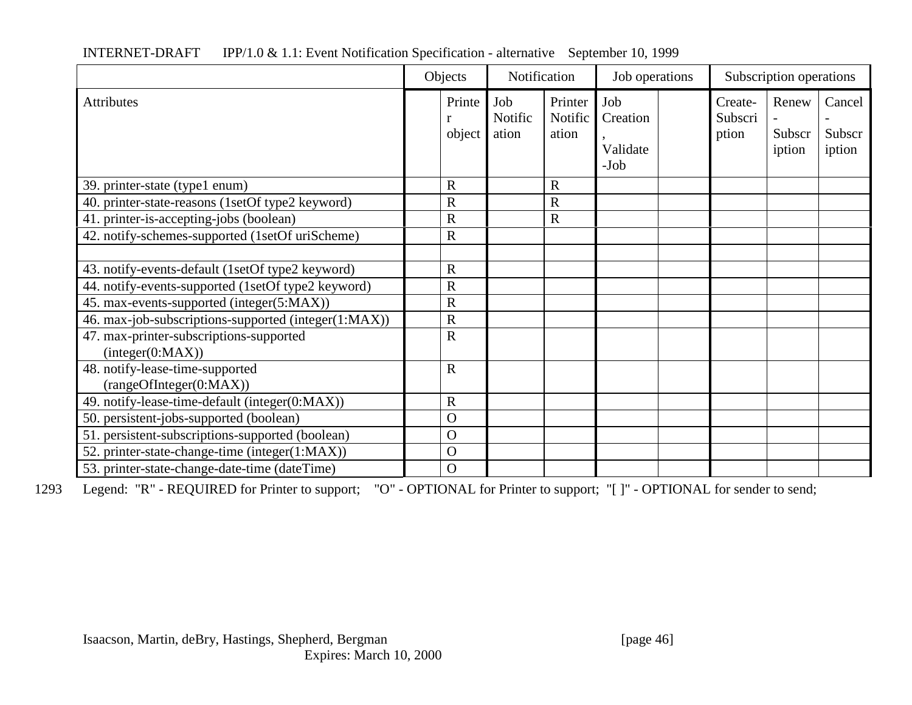|                                                      | Objects          | Notification            |                             | Job operations                      |  | Subscription operations     |                           |                            |
|------------------------------------------------------|------------------|-------------------------|-----------------------------|-------------------------------------|--|-----------------------------|---------------------------|----------------------------|
| <b>Attributes</b>                                    | Printe<br>object | Job<br>Notific<br>ation | Printer<br>Notific<br>ation | Job<br>Creation<br>Validate<br>-Job |  | Create-<br>Subscri<br>ption | Renew<br>Subscr<br>iption | Cancel<br>Subscr<br>iption |
| 39. printer-state (type1 enum)                       | $\mathbf R$      |                         | $\mathbf R$                 |                                     |  |                             |                           |                            |
| 40. printer-state-reasons (1setOf type2 keyword)     | $\mathbf R$      |                         | $\mathbf R$                 |                                     |  |                             |                           |                            |
| 41. printer-is-accepting-jobs (boolean)              | $\mathbf R$      |                         | $\mathbf R$                 |                                     |  |                             |                           |                            |
| 42. notify-schemes-supported (1setOf uriScheme)      | $\mathbf R$      |                         |                             |                                     |  |                             |                           |                            |
|                                                      |                  |                         |                             |                                     |  |                             |                           |                            |
| 43. notify-events-default (1setOf type2 keyword)     | $\mathbf R$      |                         |                             |                                     |  |                             |                           |                            |
| 44. notify-events-supported (1setOf type2 keyword)   | $\mathbb{R}$     |                         |                             |                                     |  |                             |                           |                            |
| 45. max-events-supported (integer(5:MAX))            | $\mathbf R$      |                         |                             |                                     |  |                             |                           |                            |
| 46. max-job-subscriptions-supported (integer(1:MAX)) | $\mathbf R$      |                         |                             |                                     |  |                             |                           |                            |
| 47. max-printer-subscriptions-supported              | $\mathbf R$      |                         |                             |                                     |  |                             |                           |                            |
| interger(0:MAX))                                     |                  |                         |                             |                                     |  |                             |                           |                            |
| 48. notify-lease-time-supported                      | $\mathbf R$      |                         |                             |                                     |  |                             |                           |                            |
| (rangeOfInteger(0:MAX))                              |                  |                         |                             |                                     |  |                             |                           |                            |
| 49. notify-lease-time-default (integer(0:MAX))       | $\mathbf R$      |                         |                             |                                     |  |                             |                           |                            |
| 50. persistent-jobs-supported (boolean)              | $\overline{O}$   |                         |                             |                                     |  |                             |                           |                            |
| 51. persistent-subscriptions-supported (boolean)     | $\overline{O}$   |                         |                             |                                     |  |                             |                           |                            |
| 52. printer-state-change-time (integer(1:MAX))       | $\mathbf O$      |                         |                             |                                     |  |                             |                           |                            |
| 53. printer-state-change-date-time (dateTime)        | $\Omega$         |                         |                             |                                     |  |                             |                           |                            |

1293 Legend: "R" - REQUIRED for Printer to support; "O" - OPTIONAL for Printer to support; "[ ]" - OPTIONAL for sender to send;